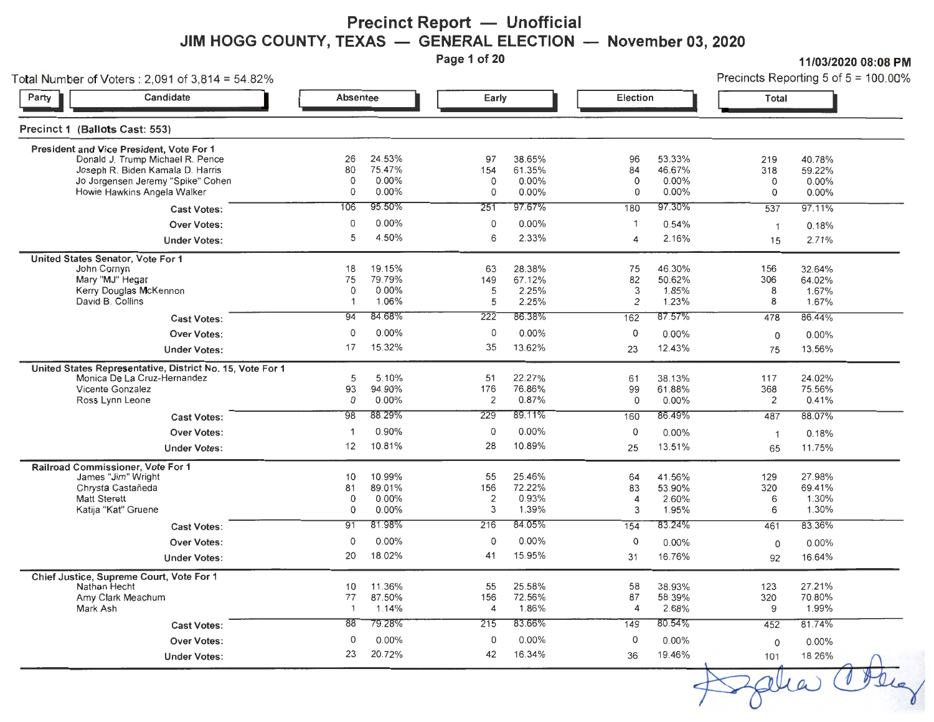#### **Precinct Report - Unofficial** JIM HOGG COUNTY, TEXAS — GENERAL ELECTION — November 03, 2020

**Page 1 of 20** 

**11/03/2020 08:08PM** 

| Total Number of Voters: 2,091 of 3,814 = 54.82%                                                                                                                                                    |                                            |                                                       |                                            |                                                           |                                           |                                                              |                                              | Precincts Reporting 5 of $5 = 100.00\%$                |
|----------------------------------------------------------------------------------------------------------------------------------------------------------------------------------------------------|--------------------------------------------|-------------------------------------------------------|--------------------------------------------|-----------------------------------------------------------|-------------------------------------------|--------------------------------------------------------------|----------------------------------------------|--------------------------------------------------------|
| Candidate<br>Party                                                                                                                                                                                 | <b>Absentee</b>                            |                                                       | Early                                      |                                                           | Election                                  |                                                              | Total                                        |                                                        |
| Precinct 1 (Ballots Cast: 553)                                                                                                                                                                     |                                            |                                                       |                                            |                                                           |                                           |                                                              |                                              |                                                        |
| President and Vice President, Vote For 1<br>Donald J. Trump Michael R. Pence<br>Joseph R. Biden Kamala D. Harris<br>Jo Jorgensen Jeremy "Spike" Cohen<br>Howie Hawkins Angela Walker               | 26<br>80<br>0<br>0                         | 24.53%<br>75.47%<br>$0.00\%$<br>$0.00\%$              | 97<br>154<br>0<br>0                        | 38.65%<br>61.35%<br>$0.00\%$<br>$0.00\%$                  | 96<br>84<br>0<br>0                        | 53.33%<br>46.67%<br>0.00%<br>$0.00\%$                        | 219<br>318<br>0<br>0                         | 40.78%<br>59.22%<br>$0.00\%$<br>$0.00\%$               |
| <b>Cast Votes:</b>                                                                                                                                                                                 | 106                                        | 95.50%                                                | 251                                        | 97.67%                                                    | 180                                       | 97.30%                                                       | 537                                          | 97.11%                                                 |
| <b>Over Votes:</b><br><b>Under Votes:</b>                                                                                                                                                          | 0<br>5                                     | $0.00\%$<br>4.50%                                     | 0<br>6                                     | $0.00\%$<br>2.33%                                         | $\overline{1}$<br>$\Delta$                | 0.54%<br>2.16%                                               | $\overline{1}$<br>15                         | 0.18%<br>2.71%                                         |
| United States Senator, Vote For 1<br>John Cornyn<br>Mary "MJ" Hegar<br>Kerry Douglas McKennon<br>David B. Collins<br><b>Cast Votes:</b>                                                            | 18<br>75<br>0<br>$\mathbf{1}$<br>94        | 19.15%<br>79.79%<br>0.00%<br>1.06%<br>84.68%          | 63<br>149<br>5<br>5<br>222                 | 28.38%<br>67.12%<br>2.25%<br>2.25%<br>86.38%              | 75<br>82<br>3<br>2<br>162                 | 46.30%<br>50.62%<br>1.85%<br>1.23%<br>87.57%                 | 156<br>306<br>8<br>8<br>478                  | 32.64%<br>64.02%<br>1.67%<br>1.67%<br>86.44%           |
| <b>Over Votes:</b>                                                                                                                                                                                 | 0                                          | 0.00%                                                 | 0                                          | $0.00\%$                                                  | 0                                         | $0.00\%$                                                     | $\mathbf 0$                                  | $0.00\%$                                               |
| <b>Under Votes:</b>                                                                                                                                                                                | 17                                         | 15.32%                                                | 35                                         | 13.62%                                                    | 23                                        | 12.43%                                                       | 75                                           | 13.56%                                                 |
| United States Representative, District No. 15, Vote For 1<br>Monica De La Cruz-Hernandez<br>Vicente Gonzalez<br>Ross Lynn Leone<br><b>Cast Votes:</b><br><b>Over Votes:</b><br><b>Under Votes:</b> | 5<br>93<br>0<br>98<br>$\overline{1}$<br>12 | 5.10%<br>94.90%<br>0.00%<br>88.29%<br>0.90%<br>10.81% | 51<br>176<br>2<br>229<br>$\mathbf 0$<br>28 | 22.27%<br>76.86%<br>0.87%<br>89.11%<br>$0.00\%$<br>10.89% | 61<br>99<br>0<br>160<br>$\mathbf 0$<br>25 | 38.13%<br>61.88%<br>$0.00\%$<br>86.49%<br>$0.00\%$<br>13.51% | 117<br>368<br>2<br>487<br>$\mathbf{1}$<br>65 | 24.02%<br>75.56%<br>0.41%<br>88.07%<br>0.18%<br>11.75% |
|                                                                                                                                                                                                    |                                            |                                                       |                                            |                                                           |                                           |                                                              |                                              |                                                        |
| Railroad Commissioner, Vote For 1<br>James "Jim" Wright<br>Chrysta Castañeda<br><b>Matt Sterett</b><br>Katija "Kat" Gruene                                                                         | 10<br>81<br>$\mathsf{o}$<br>0              | 10.99%<br>89.01%<br>0.00%<br>$0.00\%$                 | 55<br>156<br>$\overline{\mathbf{c}}$<br>3  | 25.46%<br>72.22%<br>0.93%<br>1.39%                        | 64<br>83<br>4<br>3                        | 41.56%<br>53.90%<br>2.60%<br>1.95%                           | 129<br>320<br>6<br>6                         | 27.98%<br>69.41%<br>1.30%<br>1.30%                     |
| <b>Cast Votes:</b>                                                                                                                                                                                 | 91                                         | 81.98%                                                | 216                                        | 84.05%                                                    | 154                                       | 83.24%                                                       | 461                                          | 83.36%                                                 |
| <b>Over Votes:</b><br><b>Under Votes:</b>                                                                                                                                                          | 0<br>20                                    | 0.00%<br>18.02%                                       | 0<br>41                                    | 0.00%<br>15.95%                                           | 0<br>31                                   | 0.00%<br>16.76%                                              | 0<br>92                                      | $0.00\%$<br>16.64%                                     |
| Chief Justice, Supreme Court, Vote For 1<br>Nathan Hecht<br>Amy Clark Meachum<br>Mark Ash                                                                                                          | 10<br>77<br>$\overline{1}$                 | 11.36%<br>87.50%<br>1.14%                             | 55<br>156<br>4                             | 25.58%<br>72.56%<br>1.86%                                 | 58<br>87<br>$\overline{4}$                | 38.93%<br>58.39%<br>2.68%                                    | 123<br>320<br>9                              | 27.21%<br>70.80%<br>1.99%                              |
| <b>Cast Votes:</b>                                                                                                                                                                                 | 88                                         | 79.28%                                                | 215                                        | 83.66%                                                    | 149                                       | 80.54%                                                       | 452                                          | 81.74%                                                 |
| <b>Over Votes:</b><br><b>Under Votes:</b>                                                                                                                                                          | $\circ$<br>23                              | 0.00%<br>20.72%                                       | 0<br>42                                    | $0.00\%$<br>16.34%                                        | $\circ$<br>36                             | $0.00\%$<br>19.46%                                           | $\Omega$<br>101                              | 0.00%<br>18.26%                                        |

plia Co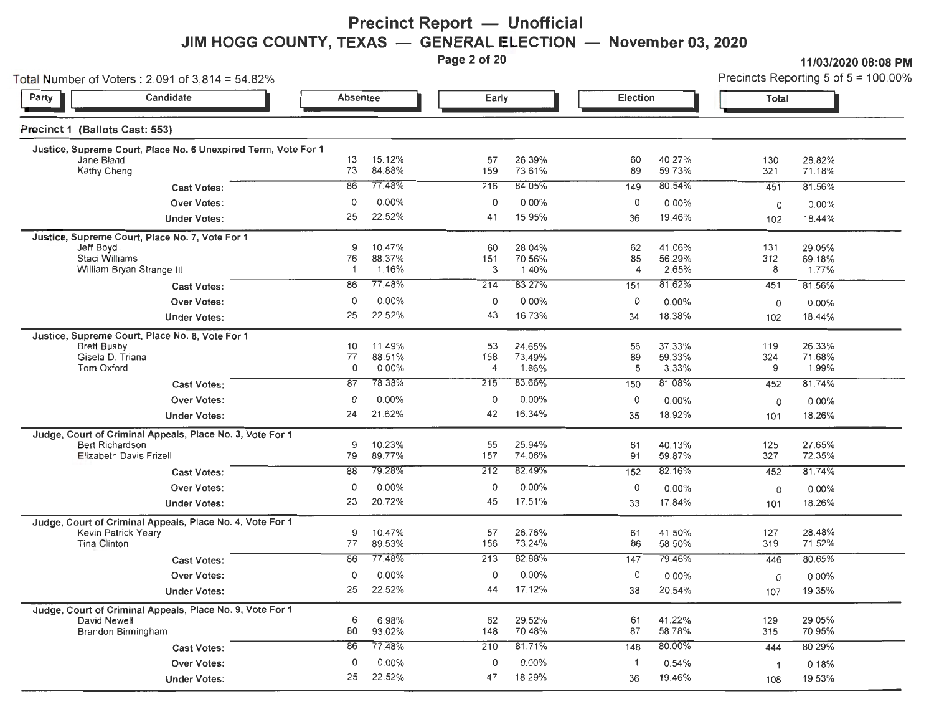## **Precinct Report — Unofficial JIM HOGG COUNTY, TEXAS — GENERAL ELECTION — November 03, 2020**<br>Page 2 of 20

**Page 20 11/03/2020 08:08 PM**<br>**Precincts Reporting 5 of 5 = 100.00%** 

| Total Number of Voters $2,091$ of $3,814 = 54.82\%$                              |          |                  |                |                  |                      |                 |                | Precincts Reporting 5 of $5 = 100.00$ <sup>9</sup> |
|----------------------------------------------------------------------------------|----------|------------------|----------------|------------------|----------------------|-----------------|----------------|----------------------------------------------------|
| Candidate<br>Party                                                               | Absentee |                  | Early          |                  | Election             |                 | Total          |                                                    |
| Precinct 1 (Ballots Cast: 553)                                                   |          |                  |                |                  |                      |                 |                |                                                    |
| Justice, Supreme Court, Place No. 6 Unexpired Term, Vote For 1<br>Jane Bland     | 13       | 15.12%           | 57             | 26.39%           | 60                   | 40.27%          | 130            | 28.82%                                             |
| Kathy Cheng                                                                      | 73       | 84.88%           | 159            | 73.61%           | 89                   | 59.73%          | 321            | 71.18%                                             |
| <b>Cast Votes:</b>                                                               | 86       | 77.48%           | 216            | 84.05%           | 149                  | 80.54%          | 451            | 81.56%                                             |
| Over Votes:                                                                      | 0        | 0.00%            | 0              | $0.00\%$         | 0                    | $0.00\%$        | 0              | $0.00\%$                                           |
| <b>Under Votes:</b>                                                              | 25       | 22.52%           | 41             | 15.95%           | 36                   | 19.46%          | 102            | 18.44%                                             |
| Justice, Supreme Court, Place No. 7, Vote For 1                                  |          |                  |                |                  |                      |                 |                |                                                    |
| Jeff Boyd                                                                        | 9        | 10.47%           | 60             | 28.04%           | 62                   | 41.06%          | 131            | 29.05%<br>69.18%                                   |
| Staci Williams<br>William Bryan Strange III                                      | 76<br>-1 | 88.37%<br>1.16%  | 151<br>3       | 70.56%<br>1.40%  | 85<br>$\overline{4}$ | 56.29%<br>2.65% | 312<br>8       | 1.77%                                              |
| <b>Cast Votes:</b>                                                               | 86       | 77.48%           | 214            | 83.27%           | 151                  | 81.62%          | 451            | 81.56%                                             |
| <b>Over Votes:</b>                                                               | 0        | 0.00%            | 0              | 0.00%            | 0                    | 0.00%           | 0              | $0.00\%$                                           |
| <b>Under Votes:</b>                                                              | 25       | 22.52%           | 43             | 16.73%           | 34                   | 18.38%          | 102            | 18.44%                                             |
| Justice, Supreme Court, Place No. 8, Vote For 1                                  |          |                  |                |                  |                      |                 |                |                                                    |
| <b>Brett Busby</b>                                                               | 10       | 11.49%           | 53             | 24.65%           | 56                   | 37.33%          | 119            | 26.33%                                             |
| Gisela D. Triana                                                                 | 77       | 88.51%           | 158            | 73.49%           | 89                   | 59.33%<br>3.33% | 324<br>9       | 71.68%<br>1.99%                                    |
| <b>Tom Oxford</b>                                                                | 0        | 0.00%            | $\overline{4}$ | 1.86%            | 5                    | 81.08%          |                |                                                    |
| <b>Cast Votes:</b>                                                               | 87       | 78.38%           | 215            | 83.66%           | 150                  |                 | 452            | 81.74%                                             |
| <b>Over Votes:</b>                                                               | 0        | 0.00%            | 0              | 0.00%            | 0                    | 0.00%           | 0              | 0.00%                                              |
| <b>Under Votes:</b>                                                              | 24       | 21.62%           | 42             | 16.34%           | 35                   | 18.92%          | 101            | 18.26%                                             |
| Judge, Court of Criminal Appeals, Place No. 3, Vote For 1                        |          |                  |                |                  |                      | 40.13%          |                | 27.65%                                             |
| <b>Bert Richardson</b><br>Elizabeth Davis Frizell                                | 9<br>79  | 10.23%<br>89.77% | 55<br>157      | 25.94%<br>74.06% | 61<br>91             | 59.87%          | 125<br>327     | 72.35%                                             |
| <b>Cast Votes:</b>                                                               | 88       | 79.28%           | 212            | 82.49%           | 152                  | 82.16%          | 452            | 81.74%                                             |
| Over Votes:                                                                      | 0        | 0.00%            | 0              | 0.00%            | 0                    | $0.00\%$        | 0              | 0.00%                                              |
| <b>Under Votes:</b>                                                              | 23       | 20.72%           | 45             | 17.51%           | 33                   | 17.84%          | 101            | 18.26%                                             |
|                                                                                  |          |                  |                |                  |                      |                 |                |                                                    |
| Judge, Court of Criminal Appeals, Place No. 4, Vote For 1<br>Kevin Patrick Yeary | 9        | 10.47%           | 57             | 26.76%           | 61                   | 41.50%          | 127            | 28.48%                                             |
| Tina Cllinton                                                                    | 77       | 89.53%           | 156            | 73.24%           | 86                   | 58.50%          | 319            | 71.52%                                             |
| <b>Cast Votes:</b>                                                               | 86       | 77.48%           | 213            | 82.88%           | 147                  | 79.46%          | 446            | 80.65%                                             |
| <b>Over Votes:</b>                                                               | 0        | 0.00%            | 0              | 0.00%            | 0                    | 0.00%           | 0              | 0.00%                                              |
| <b>Under Votes:</b>                                                              | 25       | 22.52%           | 44             | 17.12%           | 38                   | 20.54%          | 107            | 19.35%                                             |
| Judge, Court of Criminal Appeals, Place No. 9, Vote For 1                        |          |                  |                |                  |                      |                 |                |                                                    |
| David Newell                                                                     | 6        | 6.98%            | 62             | 29.52%           | 61                   | 41.22%          | 129            | 29.05%<br>70.95%                                   |
| Brandon Birmingham                                                               | 80       | 93.02%           | 148            | 70.48%           | 87                   | 58.78%          | 315            |                                                    |
| <b>Cast Votes:</b>                                                               | 86       | 77.48%           | 210            | 81.71%           | 148                  | 80.00%          | 444            | 80.29%                                             |
| <b>Over Votes:</b>                                                               | 0        | $0.00\%$         | 0              | $0.00\%$         | $\overline{1}$       | 0.54%           | $\overline{1}$ | 0.18%                                              |
| <b>Under Votes:</b>                                                              | 25       | 22.52%           | 47             | 18.29%           | 36                   | 19.46%          | 108            | 19.53%                                             |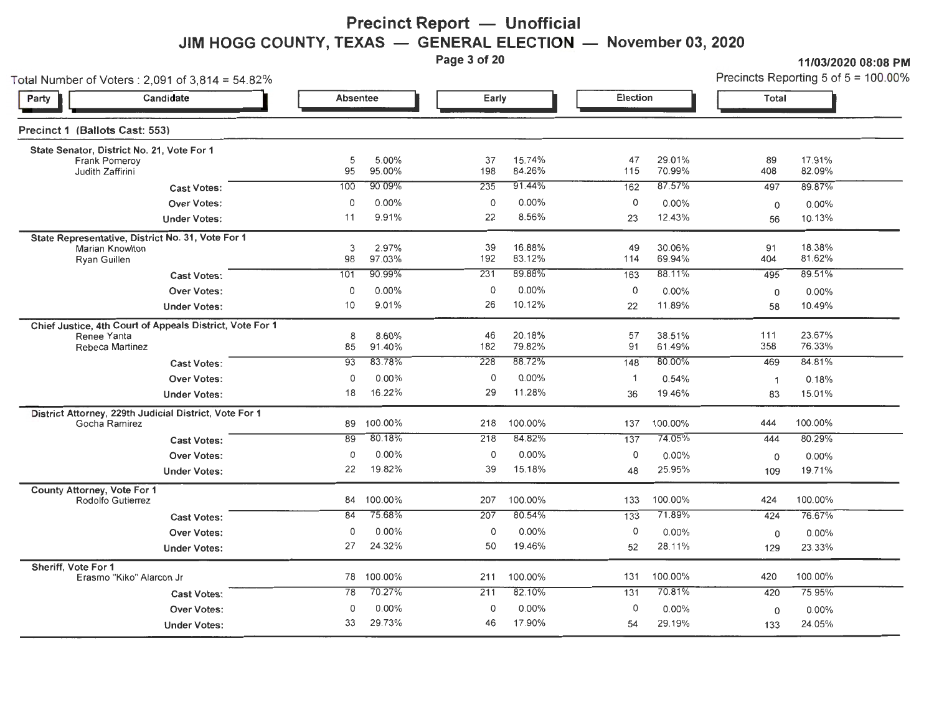# **Precinct Report - Unofficial JIM HOGG COUNTY, TEXAS — GENERAL ELECTION — November 03, 2020**<br>Page 3 of 20

**Parameter 3 of 21/03/2020 08:08 PM**<br>**Precincts Reporting 5 of 5 = 100.00%** 

| Total Number of Voters : 2,091 of 3,814 = 54.82%                                           |                 |                 |           |                  |                   |                  |              | Precincts Reporting 5 of $5 = 100.00$ |
|--------------------------------------------------------------------------------------------|-----------------|-----------------|-----------|------------------|-------------------|------------------|--------------|---------------------------------------|
| Candidate<br>Party                                                                         | <b>Absentee</b> |                 | Early     |                  | Election          |                  | Total        |                                       |
| Precinct 1 (Ballots Cast: 553)                                                             |                 |                 |           |                  |                   |                  |              |                                       |
| State Senator, District No. 21, Vote For 1<br>Frank Pomeroy<br>Judith Zaffirini            | 5<br>95         | 5.00%<br>95.00% | 37<br>198 | 15.74%<br>84.26% | 47<br>115         | 29.01%<br>70.99% | 89<br>408    | 17.91%<br>82.09%                      |
| <b>Cast Votes:</b>                                                                         | 100             | 90.09%          | 235       | 91.44%           | 162               | 87.57%           | 497          | 89.87%                                |
| <b>Over Votes:</b><br><b>Under Votes:</b>                                                  | 0<br>11         | 0.00%<br>9.91%  | 0<br>22   | 0.00%<br>8.56%   | $\mathbf 0$<br>23 | 0.00%<br>12.43%  | 0<br>56      | $0.00\%$<br>10.13%                    |
| State Representative, District No. 31, Vote For 1<br>Marian Knowlton<br>Ryan Guillen       | 3<br>98         | 2.97%<br>97.03% | 39<br>192 | 16.88%<br>83.12% | 49<br>114         | 30.06%<br>69.94% | 91<br>404    | 18.38%<br>81.62%                      |
| <b>Cast Votes:</b>                                                                         | 101             | 90.99%          | 231       | 89.88%           | 163               | 88.11%           | 495          | 89.51%                                |
| <b>Over Votes:</b><br><b>Under Votes:</b>                                                  | 0<br>10         | 0.00%<br>9.01%  | 0<br>26   | 0.00%<br>10.12%  | 0<br>22           | 0.00%<br>11.89%  | 0<br>58      | 0.00%<br>10.49%                       |
| Chief Justice, 4th Court of Appeals District, Vote For 1<br>Renee Yanta<br>Rebeca Martinez | 8<br>85         | 8.60%<br>91.40% | 46<br>182 | 20.18%<br>79.82% | 57<br>91          | 38.51%<br>61.49% | 111<br>358   | 23.67%<br>76.33%                      |
| <b>Cast Votes:</b>                                                                         | 93              | 83.78%          | 228       | 88.72%           | 148               | 80.00%           | 469          | 84.81%                                |
| Over Votes:                                                                                | $\mathbf 0$     | 0.00%           | 0         | 0.00%            | $\mathbf{1}$      | 0.54%            | $\mathbf{1}$ | 0.18%                                 |
| <b>Under Votes:</b>                                                                        | 18              | 16.22%          | 29        | 11.28%           | 36                | 19.46%           | 83           | 15.01%                                |
| District Attorney, 229th Judicial District, Vote For 1<br>Gocha Ramirez                    | 89              | 100.00%         | 218       | 100.00%          | 137               | 100.00%          | 444          | 100.00%                               |
| <b>Cast Votes:</b>                                                                         | 89              | 80.18%          | 218       | 84.82%           | $\overline{137}$  | 74.05%           | 444          | 80.29%                                |
| <b>Over Votes:</b>                                                                         | 0               | 0.00%           | 0         | $0.00\%$         | $\mathbf 0$       | 0.00%            | $\mathbf 0$  | $0.00\%$                              |
| <b>Under Votes:</b>                                                                        | 22              | 19.82%          | 39        | 15.18%           | 48                | 25.95%           | 109          | 19.71%                                |
| County Attorney, Vote For 1<br>Rodolfo Gutierrez                                           | 84              | 100.00%         | 207       | 100.00%          | 133               | 100.00%          | 424          | 100.00%                               |
| <b>Cast Votes:</b>                                                                         | 84              | 75.68%          | 207       | 80.54%           | 133               | 71.89%           | 424          | 76.67%                                |
| <b>Over Votes:</b>                                                                         | 0               | $0.00\%$        | 0         | 0.00%            | $\mathsf O$       | $0.00\%$         | 0            | 0.00%                                 |
| <b>Under Votes:</b>                                                                        | 27              | 24.32%          | 50        | 19.46%           | 52                | 28.11%           | 129          | 23.33%                                |
| Sheriff, Vote For 1<br>Erasmo "Kiko" Alarcon Jr                                            |                 | 78 100.00%      | 211       | 100.00%          | 131               | 100.00%          | 420          | 100.00%                               |
| <b>Cast Votes:</b>                                                                         | 78              | 70.27%          | 211       | 82.10%           | 131               | 70.81%           | 420          | 75.95%                                |
| <b>Over Votes:</b>                                                                         | 0               | 0.00%           | 0         | 0.00%            | 0                 | 0.00%            | 0            | 0.00%                                 |
| <b>Under Votes:</b>                                                                        | 33              | 29.73%          | 46        | 17.90%           | 54                | 29.19%           | 133          | 24.05%                                |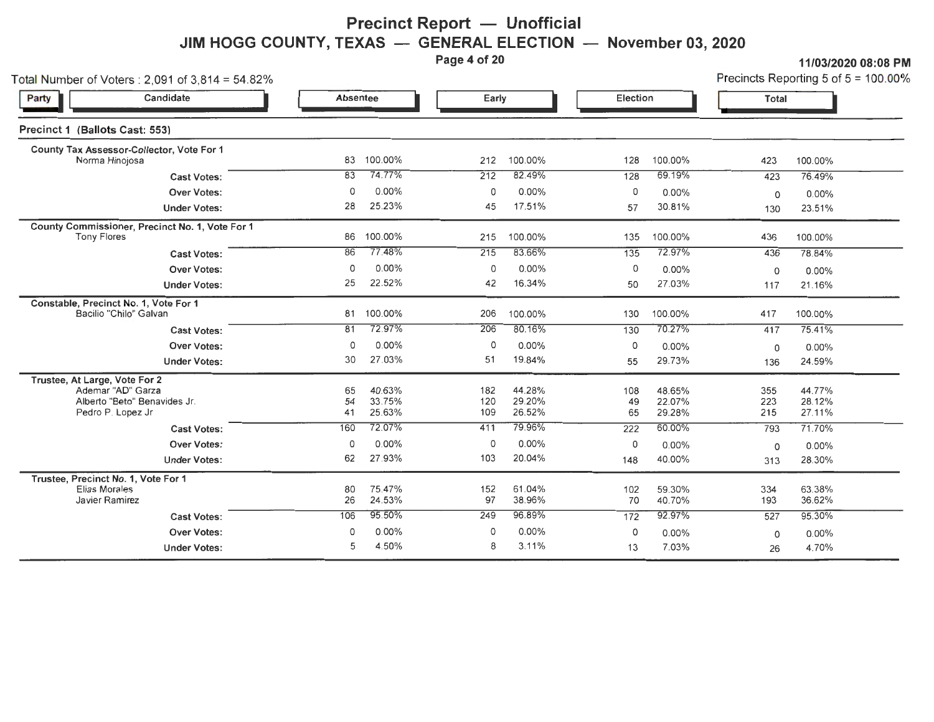# **Precinct Report - Unofficial** JIM HOGG COUNTY, TEXAS — GENERAL ELECTION — November 03, 2020<br>Page 4 of 20

**Page 4 of 20 11/03/2020 08:08 PM** 

| Total Number of Voters: $2,091$ of $3,814 = 54.82\%$                                                    |                |                            |                   |                            |                 |                            |                   | Precincts Reporting 5 of $5 = 100.00\%$ |
|---------------------------------------------------------------------------------------------------------|----------------|----------------------------|-------------------|----------------------------|-----------------|----------------------------|-------------------|-----------------------------------------|
| Candidate<br>Party                                                                                      | Absentee       |                            | Early             |                            | Election        |                            | <b>Total</b>      |                                         |
| Precinct 1 (Ballots Cast: 553)                                                                          |                |                            |                   |                            |                 |                            |                   |                                         |
| County Tax Assessor-Collector, Vote For 1<br>Norma Hinojosa                                             | 83             | 100.00%                    | 212               | 100.00%                    | 128             | 100.00%                    | 423               | 100.00%                                 |
| <b>Cast Votes:</b>                                                                                      | 83             | 74.77%                     | 212               | 82.49%                     | 128             | 69.19%                     | 423               | 76.49%                                  |
| <b>Over Votes:</b>                                                                                      | $\circ$        | $0.00\%$                   | 0                 | $0.00\%$                   | 0               | 0.00%                      | 0                 | 0.00%                                   |
| <b>Under Votes:</b>                                                                                     | 28             | 25.23%                     | 45                | 17.51%                     | 57              | 30.81%                     | 130               | 23.51%                                  |
| County Commissioner, Precinct No. 1, Vote For 1<br><b>Tony Flores</b>                                   | 86             | 100.00%                    | 215               | 100.00%                    | 135             | 100.00%                    | 436               | 100.00%                                 |
| <b>Cast Votes:</b>                                                                                      | 86             | 77.48%                     | 215               | 83.66%                     | 135             | 72.97%                     | 436               | 78.84%                                  |
| Over Votes:                                                                                             | O              | $0.00\%$                   | 0                 | $0.00\%$                   | 0               | $0.00\%$                   | $\Omega$          | $0.00\%$                                |
| <b>Under Votes:</b>                                                                                     | 25             | 22.52%                     | 42                | 16.34%                     | 50              | 27.03%                     | 117               | 21.16%                                  |
| Constable, Precinct No. 1, Vote For 1<br>Bacilio "Chilo" Galvan                                         | 81             | 100.00%                    | 206               | 100.00%                    | 130             | 100.00%                    | 417               | 100.00%                                 |
| <b>Cast Votes:</b>                                                                                      | 81             | 72.97%                     | 206               | 80.16%                     | 130             | 70.27%                     | 417               | 75.41%                                  |
| <b>Over Votes:</b>                                                                                      | $\Omega$       | $0.00\%$                   | $\circ$           | 0.00%                      | 0               | 0.00%                      | $\Omega$          | $0.00\%$                                |
| <b>Under Votes:</b>                                                                                     | 30             | 27.03%                     | 51                | 19.84%                     | 55              | 29.73%                     | 136               | 24.59%                                  |
| Trustee, At Large, Vote For 2<br>Ademar "AD" Garza<br>Alberto "Eeto" Benavides Jr.<br>Pedro P. Lopez Jr | 65<br>54<br>41 | 40.63%<br>33.75%<br>25.63% | 182<br>120<br>109 | 44.28%<br>29.20%<br>26.52% | 108<br>49<br>65 | 48.65%<br>22.07%<br>29.28% | 355<br>223<br>215 | 44.77%<br>28.12%<br>27.11%              |
| <b>Cast Votes:</b>                                                                                      | 160            | 72.07%                     | 411               | 79.96%                     | 222             | 60.00%                     | 793               | 71.70%                                  |
| <b>Over Votes:</b>                                                                                      | 0              | $0.00\%$                   | 0                 | 0.00%                      | 0               | 0.00%                      | $\Omega$          | $0.00\%$                                |
| <b>Under Votes:</b>                                                                                     | 62             | 27.93%                     | 103               | 20.04%                     | 148             | 40.00%                     | 313               | 28.30%                                  |
| Trustee, Precinct No. 1, Vote For 1<br>Elias Morales<br>Javier Ramirez                                  | 80<br>26       | 75.47%<br>24.53%           | 152<br>97         | 61.04%<br>38.96%           | 102<br>70       | 59.30%<br>40.70%           | 334<br>193        | 63.38%<br>36.62%                        |
| <b>Cast Votes:</b>                                                                                      | 106            | 95.50%                     | 249               | 96.89%                     | 172             | 92.97%                     | 527               | 95.30%                                  |
| <b>Over Votes:</b>                                                                                      | O              | 0.00%                      | 0                 | 0.00%                      | 0               | $0.00\%$                   | 0                 | $0.00\%$                                |
| <b>Under Votes:</b>                                                                                     | 5              | 4.50%                      | 8                 | 3.11%                      | 13              | 7.03%                      | 26                | 4.70%                                   |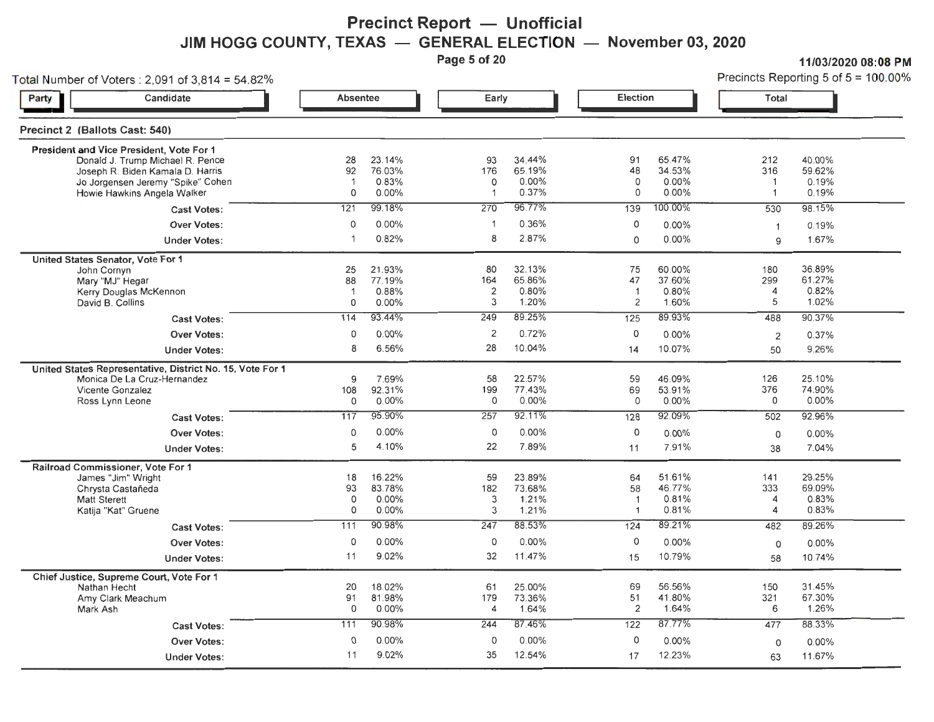## **Precinct Report - Unofficial JIM HOGG COUNTY, TEXAS — GENERAL ELECTION — November 03, 2020**<br>Page 5 of 20

**Parage 11/03/2020 08:08 PM**<br>**Precincts Reporting 5 of 5 = 100.00%** 

|                                | Total Number of Voters: 2,091 of 3,814 = 54.82%                                                                                                                                      |                                 |                                    |                                |                                    |                                          |                                    |                                              | Precincts Reporting 5 of $5 = 100.00$ ? |
|--------------------------------|--------------------------------------------------------------------------------------------------------------------------------------------------------------------------------------|---------------------------------|------------------------------------|--------------------------------|------------------------------------|------------------------------------------|------------------------------------|----------------------------------------------|-----------------------------------------|
| Party                          | Candidate                                                                                                                                                                            | Absentee                        |                                    | Early                          |                                    | Election                                 |                                    | <b>Total</b>                                 |                                         |
| Precinct 2 (Ballots Cast: 540) |                                                                                                                                                                                      |                                 |                                    |                                |                                    |                                          |                                    |                                              |                                         |
|                                | President and Vice President, Vote For 1<br>Donald J. Trump Michael R. Pence<br>Joseph R. Biden Kamala D. Harris<br>Jo Jorgensen Jeremy "Spike" Cohen<br>Howie Hawkins Angela Walker | 28<br>92<br>$\overline{1}$<br>0 | 23.14%<br>76.03%<br>0.83%<br>0.00% | 93<br>176<br>0<br>$\mathbf{1}$ | 34.44%<br>65.19%<br>0.00%<br>0.37% | 91<br>48<br>0<br>0                       | 65.47%<br>34.53%<br>0.00%<br>0.00% | 212<br>316<br>$\mathbf{1}$<br>$\overline{1}$ | 40.00%<br>59.62%<br>0.19%<br>0.19%      |
|                                | <b>Cast Votes:</b>                                                                                                                                                                   | 121                             | 99.18%                             | 270                            | 96.77%                             | 139                                      | 100.00%                            | 530                                          | 98.15%                                  |
|                                | <b>Over Votes:</b>                                                                                                                                                                   | 0                               | 0.00%                              | $\overline{\mathbf{1}}$        | 0.36%                              | 0                                        | 0.00%                              | $\mathbf{1}$                                 | 0.19%                                   |
|                                | <b>Under Votes:</b>                                                                                                                                                                  | $\mathbf{1}$                    | 0.82%                              | 8                              | 2.87%                              | $\circ$                                  | 0.00%                              | 9                                            | 1.67%                                   |
|                                | United States Senator, Vote For 1<br>John Cornyn<br>Mary "MJ" Hegar<br>Kerry Douglas McKennon<br>David B. Collins                                                                    | 25<br>88<br>$\overline{1}$<br>0 | 21.93%<br>77.19%<br>0.88%<br>0.00% | 80<br>164<br>2<br>3            | 32.13%<br>65.86%<br>0.80%<br>1.20% | 75<br>47<br>$\overline{1}$<br>2          | 60.00%<br>37.60%<br>0.80%<br>1.60% | 180<br>299<br>4<br>5                         | 36.89%<br>61.27%<br>0.82%<br>1.02%      |
|                                | <b>Cast Votes:</b>                                                                                                                                                                   | 114                             | 93.44%                             | 249                            | 89.25%                             | 125                                      | 89.93%                             | 488                                          | 90.37%                                  |
|                                | <b>Over Votes:</b>                                                                                                                                                                   | 0                               | 0.00%                              | $\overline{2}$                 | 0.72%                              | 0                                        | 0.00%                              | $\overline{2}$                               | 0.37%                                   |
|                                | <b>Under Votes:</b>                                                                                                                                                                  | 8                               | 6.56%                              | 28                             | 10.04%                             | 14                                       | 10.07%                             | 50                                           | 9.26%                                   |
|                                | United States Representative, District No. 15, Vote For 1<br>Monica De La Cruz-Hernandez<br><b>Vicente Gonzalez</b><br>Ross Lynn Leone                                               | 9<br>108<br>0                   | 7.69%<br>92.31%<br>$0.00\%$        | 58<br>199<br>0                 | 22.57%<br>77.43%<br>0.00%          | 59<br>69<br>0                            | 46.09%<br>53.91%<br>$0.00\%$       | 126<br>376<br>0                              | 25.10%<br>74.90%<br>0.00%               |
|                                | <b>Cast Votes:</b>                                                                                                                                                                   | 117                             | 95.90%                             | 257                            | 92.11%                             | 128                                      | 92.09%                             | 502                                          | 92.96%                                  |
|                                | <b>Over Votes:</b>                                                                                                                                                                   | 0                               | $0.00\%$                           | 0                              | 0.00%                              | 0                                        | $0.00\%$                           | 0                                            | 0.00%                                   |
|                                | <b>Under Votes:</b>                                                                                                                                                                  | 5                               | 4.10%                              | 22                             | 7.89%                              | 11                                       | 7.91%                              | 38                                           | 7.04%                                   |
|                                | Railroad Commissioner, Vote For 1<br>James "Jim" Wright<br>Chrysta Castañeda<br><b>Matt Sterett</b><br>Katija "Kat" Gruene                                                           | 18<br>93<br>0<br>0              | 16.22%<br>83.78%<br>0.00%<br>0.00% | 59<br>182<br>3<br>3            | 23.89%<br>73.68%<br>1.21%<br>1.21% | 64<br>58<br>$\mathbf{1}$<br>$\mathbf{1}$ | 51.61%<br>46.77%<br>0.81%<br>0.81% | 141<br>333<br>4<br>4                         | 29.25%<br>69.09%<br>0.83%<br>0.83%      |
|                                | <b>Cast Votes:</b>                                                                                                                                                                   | 111                             | 90.98%                             | 247                            | 88.53%                             | 124                                      | 89.21%                             | 482                                          | 89.26%                                  |
|                                | <b>Over Votes:</b>                                                                                                                                                                   | 0                               | 0.00%                              | $\circ$                        | 0.00%                              | $\circ$                                  | 0.00%                              | 0                                            | $0.00\%$                                |
|                                | <b>Under Votes:</b>                                                                                                                                                                  | 11                              | 9.02%                              | 32                             | 11.47%                             | 15                                       | 10.79%                             | 58                                           | 10.74%                                  |
| Mark Ash                       | Chief Justice, Supreme Court, Vote For 1<br>Nathan Hecht<br>Amy Clark Meachum                                                                                                        | 20<br>91<br>$\Omega$            | 18.02%<br>81.98%<br>0.00%          | 61<br>179<br>$\overline{4}$    | 25.00%<br>73.36%<br>1.64%          | 69<br>51<br>$\overline{2}$               | 56.56%<br>41.80%<br>1.64%          | 150<br>321<br>6                              | 31.45%<br>67.30%<br>1.26%               |
|                                | <b>Cast Votes:</b>                                                                                                                                                                   | 111                             | 90.98%                             | 244                            | 87.46%                             | 122                                      | 87.77%                             | 477                                          | 88.33%                                  |
|                                | <b>Over Votes:</b>                                                                                                                                                                   | $\Omega$                        | $0.00\%$                           | $\mathbf 0$                    | 0.00%                              | $\circ$                                  | 0.00%                              | 0                                            | $0.00\%$                                |
|                                | <b>Under Votes:</b>                                                                                                                                                                  | 11                              | 9.02%                              | 35                             | 12.54%                             | 17                                       | 12.23%                             | 63                                           | 11.67%                                  |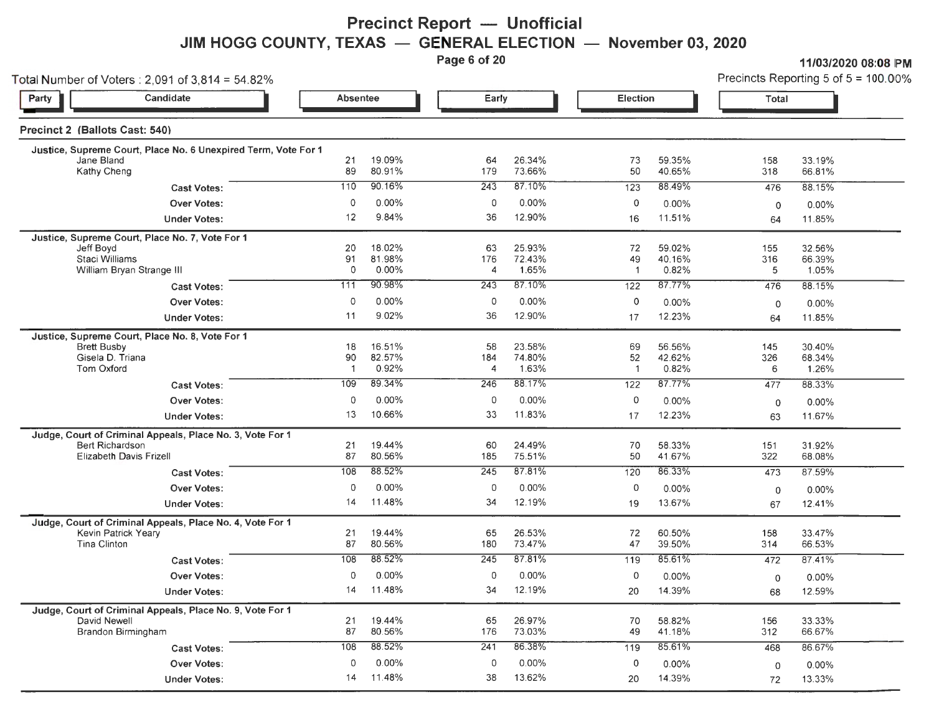**Precinct Report — Unofficial JIM HOGG COUNTY, TEXAS — GENERAL ELECTION — November 03, 2020**<br>Page 6 of 20

11/03/2020 08:08 PM

|                                | Total Number of Voters: $2,091$ of $3,814 = 54.82\%$           |                      |                  |                  |                  |                    |                  | Precincts Reporting 5 of $5 = 100.00\%$ |                  |  |
|--------------------------------|----------------------------------------------------------------|----------------------|------------------|------------------|------------------|--------------------|------------------|-----------------------------------------|------------------|--|
| Party                          | Candidate                                                      | <b>Absentee</b>      |                  | Early            |                  | Election           |                  | <b>Total</b>                            |                  |  |
| Precinct 2 (Ballots Cast: 540) |                                                                |                      |                  |                  |                  |                    |                  |                                         |                  |  |
|                                | Justice, Supreme Court, Place No. 6 Unexpired Term, Vote For 1 |                      |                  |                  |                  |                    |                  |                                         |                  |  |
| Jane Bland<br>Kathy Cheng      |                                                                | 21<br>89             | 19.09%<br>80.91% | 64<br>179        | 26.34%<br>73.66% | 73<br>50           | 59.35%<br>40.65% | 158<br>318                              | 33.19%<br>66.81% |  |
|                                | <b>Cast Votes:</b>                                             | 110                  | 90.16%           | 243              | 87.10%           | 123                | 88.49%           | 476                                     | 88.15%           |  |
|                                | <b>Over Votes:</b>                                             | $\mathbf 0$          | 0.00%            | 0                | 0.00%            | $\circ$            | 0.00%            | $\mathbf 0$                             | 0.00%            |  |
|                                | <b>Under Votes:</b>                                            | 12                   | 9.84%            | 36               | 12.90%           | 16                 | 11.51%           | 64                                      | 11.85%           |  |
|                                | Justice, Supreme Court, Place No. 7, Vote For 1                |                      |                  |                  |                  |                    |                  |                                         |                  |  |
| Jeff Boyd                      | Staci Williams                                                 | 20<br>91             | 18.02%<br>81.98% | 63<br>176        | 25.93%<br>72.43% | 72<br>49           | 59.02%<br>40.16% | 155<br>316                              | 32.56%<br>66.39% |  |
|                                | William Bryan Strange III                                      | $\mathbf 0$          | 0.00%            | 4                | 1.65%            | $\mathbf{1}$       | 0.82%            | 5                                       | 1.05%            |  |
|                                | <b>Cast Votes:</b>                                             | 111                  | 90.98%           | 243              | 87.10%           | 122                | 87.77%           | 476                                     | 88.15%           |  |
|                                | <b>Over Votes:</b>                                             | 0                    | 0.00%            | 0                | 0.00%            | $\mathbf 0$        | $0.00\%$         | $\circ$                                 | 0.00%            |  |
|                                | <b>Under Votes:</b>                                            | 11                   | 9.02%            | 36               | 12.90%           | 17                 | 12.23%           | 64                                      | 11.85%           |  |
|                                | Justice, Supreme Court, Place No. 8, Vote For 1                |                      |                  |                  |                  |                    |                  |                                         |                  |  |
| <b>Brett Busby</b>             |                                                                | 18                   | 16.51%           | 58               | 23.58%           | 69                 | 56.56%           | 145                                     | 30.40%           |  |
| <b>Tom Oxford</b>              | Gisela D. Triana                                               | 90<br>$\overline{1}$ | 82.57%<br>0.92%  | 184<br>4         | 74.80%<br>1.63%  | 52<br>$\mathbf{1}$ | 42.62%<br>0.82%  | 326<br>6                                | 68.34%<br>1.26%  |  |
|                                | <b>Cast Votes:</b>                                             | 109                  | 89.34%           | 246              | 88.17%           | 122                | 87.77%           | 477                                     | 88.33%           |  |
|                                | <b>Over Votes:</b>                                             | $\mathbf 0$          | 0.00%            | 0                | $0.00\%$         | $\circ$            | 0.00%            |                                         | 0.00%            |  |
|                                | <b>Under Votes:</b>                                            | 13                   | 10.66%           | 33               | 11.83%           | 17                 | 12.23%           | $\mathbf 0$<br>63                       | 11.67%           |  |
|                                | Judge, Court of Criminal Appeals, Place No. 3, Vote For 1      |                      |                  |                  |                  |                    |                  |                                         |                  |  |
|                                | Bert Richardson                                                | 21                   | 19.44%           | 60               | 24.49%           | 70                 | 58.33%           | 151                                     | 31.92%           |  |
|                                | <b>Elizabeth Davis Frizell</b>                                 | 87                   | 80.56%           | 185              | 75.51%           | 50                 | 41.67%           | 322                                     | 68.08%           |  |
|                                | <b>Cast Votes:</b>                                             | 108                  | 88.52%           | 245              | 87.81%           | 120                | 86.33%           | 473                                     | 87.59%           |  |
|                                | <b>Over Votes:</b>                                             | $\mathbf 0$          | 0.00%            | $\mathbf 0$      | $0.00\%$         | 0                  | 0.00%            | $\mathbf 0$                             | 0.00%            |  |
|                                | <b>Under Votes:</b>                                            | 14                   | 11.48%           | 34               | 12.19%           | 19                 | 13.67%           | 67                                      | 12.41%           |  |
|                                | Judge, Court of Criminal Appeals, Place No. 4, Vote For 1      |                      |                  |                  |                  |                    |                  |                                         |                  |  |
| <b>Tina Clinton</b>            | Kevin Patrick Yeary                                            | 21<br>87             | 19.44%<br>80.56% | 65<br>180        | 26.53%<br>73.47% | 72<br>47           | 60.50%<br>39.50% | 158<br>314                              | 33.47%<br>66.53% |  |
|                                | <b>Cast Votes:</b>                                             | 108                  | 88.52%           | $\overline{245}$ | 87.81%           | 119                | 85.61%           | 472                                     | 87.41%           |  |
|                                | <b>Over Votes:</b>                                             | $\mathbf 0$          | 0.00%            | $\Omega$         | $0.00\%$         | $\circ$            | $0.00\%$         | $\mathbf 0$                             | 0.00%            |  |
|                                | <b>Under Votes:</b>                                            | 14                   | 11.48%           | 34               | 12.19%           | 20                 | 14.39%           | 68                                      | 12.59%           |  |
|                                | Judge, Court of Criminal Appeals, Place No. 9, Vote For 1      |                      |                  |                  |                  |                    |                  |                                         |                  |  |
| David Newell                   |                                                                | 21                   | 19.44%           | 65               | 26.97%           | 70                 | 58.82%           | 156                                     | 33.33%           |  |
|                                | Brandon Birmingham                                             | 87                   | 80.56%           | 176              | 73.03%           | 49                 | 41.18%           | 312                                     | 66.67%           |  |
|                                | <b>Cast Votes:</b>                                             | 108                  | 88.52%           | 241              | 86.38%           | 119                | 85.61%           | 468                                     | 86.67%           |  |
|                                | <b>Over Votes:</b>                                             | $\circ$              | $0.00\%$         | 0                | $0.00\%$         | 0                  | $0.00\%$         | $\circ$                                 | 0.00%            |  |
|                                | <b>Under Votes:</b>                                            | 14                   | 11.48%           | 38               | 13.62%           | 20                 | 14.39%           | 72                                      | 13.33%           |  |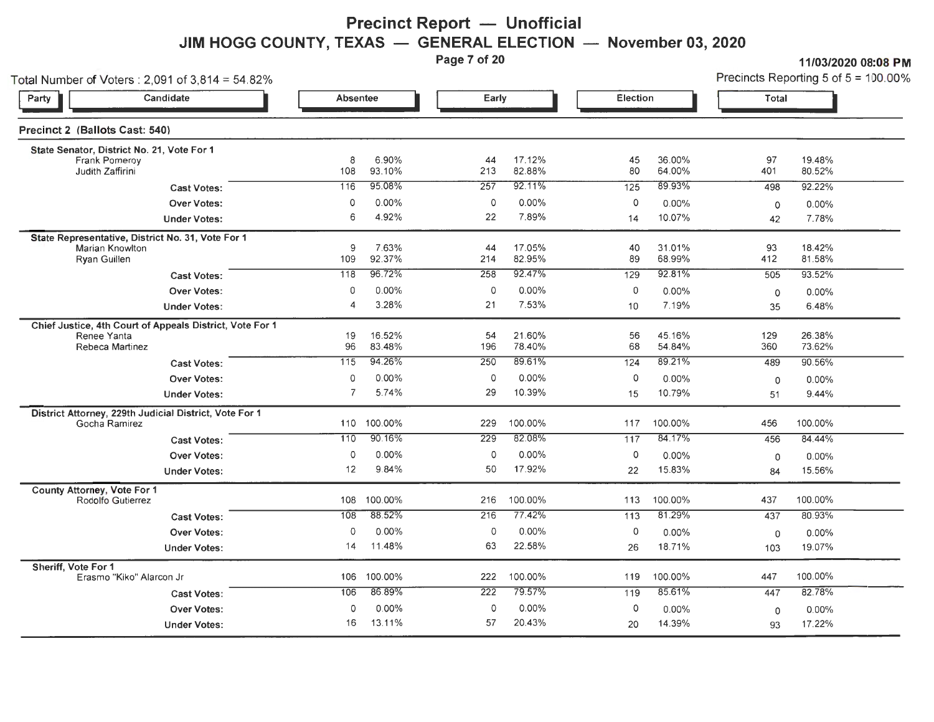#### **Precinct Report - Unofficial** JIM HOGG COUNTY, TEXAS - GENERAL ELECTION - November 03, 2020

Page 7 of 20 **11/03/2020 08:08 PM** 

Total Number of Voters : 2,091 of 3,814 = 54,82% Precincts Reporting 5 of 5 = 100.00%

| $\frac{1}{2}$<br>Party                                                                      | Candidate                                                | Absentee       |                  | Early               |                  | <b>Election</b> |                  | Total       |                  |
|---------------------------------------------------------------------------------------------|----------------------------------------------------------|----------------|------------------|---------------------|------------------|-----------------|------------------|-------------|------------------|
| Precinct 2 (Ballots Cast: 540)                                                              |                                                          |                |                  |                     |                  |                 |                  |             |                  |
| State Senator, District No. 21, Vote For 1<br>Frank Pomeroy<br>Judith Zaffirini             |                                                          | 8<br>108       | 6.90%<br>93.10%  | 44<br>213           | 17.12%<br>82.88% | 45<br>80        | 36.00%<br>64.00% | 97<br>401   | 19.48%<br>80.52% |
|                                                                                             | <b>Cast Votes:</b>                                       | 116            | 95.08%           | 257                 | 92.11%           | 125             | 89.93%           | 498         | 92.22%           |
|                                                                                             | <b>Over Votes:</b>                                       | $\mathbf 0$    | $0.00\%$         | $\mathsf{O}\xspace$ | 0.00%            | $\circ$         | 0.00%            | $\mathbf 0$ | 0.00%            |
|                                                                                             | <b>Under Votes:</b>                                      | 6              | 4.92%            | 22                  | 7.89%            | 14              | 10.07%           | 42          | 7.78%            |
| State Representative, District No. 31, Vote For 1<br><b>Marian Knowlton</b><br>Ryan Guillen |                                                          | 9<br>109       | 7.63%<br>92.37%  | 44<br>214           | 17.05%<br>82.95% | 40<br>89        | 31.01%<br>68.99% | 93<br>412   | 18.42%<br>81.58% |
|                                                                                             | <b>Cast Votes:</b>                                       | 118            | 96.72%           | 258                 | 92.47%           | 129             | 92.81%           | 505         | 93.52%           |
|                                                                                             | <b>Over Votes:</b>                                       | 0              | 0.00%            | $\circ$             | 0.00%            | 0               | 0.00%            | $\circ$     | 0.00%            |
|                                                                                             | <b>Under Votes:</b>                                      | 4              | 3.28%            | 21                  | 7.53%            | 10              | 7.19%            | 35          | 6.48%            |
| Renee Yanta<br>Rebeca Martinez                                                              | Chief Justice, 4th Court of Appeals District, Vote For 1 | 19<br>96       | 16.52%<br>83.48% | 54<br>196           | 21.60%<br>78.40% | 56<br>68        | 45.16%<br>54.84% | 129<br>360  | 26.38%<br>73.62% |
|                                                                                             | <b>Cast Votes:</b>                                       | 115            | 94.26%           | 250                 | 89.61%           | 124             | 89.21%           | 489         | 90.56%           |
|                                                                                             | <b>Over Votes:</b>                                       | 0              | 0.00%            | $\circ$             | 0.00%            | $\circ$         | $0.00\%$         | $\mathbf 0$ | 0.00%            |
|                                                                                             | <b>Under Votes:</b>                                      | $\overline{7}$ | 5.74%            | 29                  | 10.39%           | 15              | 10.79%           | 51          | 9.44%            |
| Gocha Ramirez                                                                               | District Attorney, 229th Judicial District, Vote For 1   | 110            | 100.00%          | 229                 | 100.00%          | 117             | 100.00%          | 456         | 100.00%          |
|                                                                                             | <b>Cast Votes:</b>                                       | 110            | 90.16%           | 229                 | 82.08%           | 117             | 84.17%           | 456         | 84.44%           |
|                                                                                             | Over Votes:                                              | $\circ$        | 0.00%            | $\circ$             | 0.00%            | $\circ$         | 0.00%            | 0           | 0.00%            |
|                                                                                             | <b>Under Votes:</b>                                      | 12             | 9.84%            | 50                  | 17.92%           | 22              | 15.83%           | 84          | 15.56%           |
| <b>County Attorney, Vote For 1</b><br>Rodolfo Gutierrez                                     |                                                          | 108            | 100.00%          | 216                 | 100.00%          | 113             | 100.00%          | 437         | 100.00%          |
|                                                                                             | <b>Cast Votes:</b>                                       | 108            | 88.52%           | 216                 | 77.42%           | 113             | 81.29%           | 437         | 80.93%           |
|                                                                                             | <b>Over Votes:</b>                                       | $\circ$        | 0.00%            | $\circ$             | 0.00%            | $\circ$         | 0.00%            | $\mathbf 0$ | $0.00\%$         |
|                                                                                             | <b>Under Votes:</b>                                      | 14             | 11.48%           | 63                  | 22.58%           | 26              | 18.71%           | 103         | 19.07%           |
| Sheriff, Vote For 1<br>Erasmo "Kiko" Alarcon Jr                                             |                                                          | 106            | 100.00%          | 222                 | 100.00%          | 119             | 100.00%          | 447         | 100.00%          |
|                                                                                             | <b>Cast Votes:</b>                                       | 106            | 86.89%           | 222                 | 79.57%           | 119             | 85.61%           | 447         | 82.78%           |
|                                                                                             | Over Votes:                                              | $\circ$        | 0.00%            | $\circ$             | 0.00%            | $\circ$         | $0.00\%$         | $\mathbf 0$ | 0.00%            |
|                                                                                             | <b>Under Votes:</b>                                      | 16             | 13.11%           | 57                  | 20.43%           | 20              | 14.39%           | 93          | 17.22%           |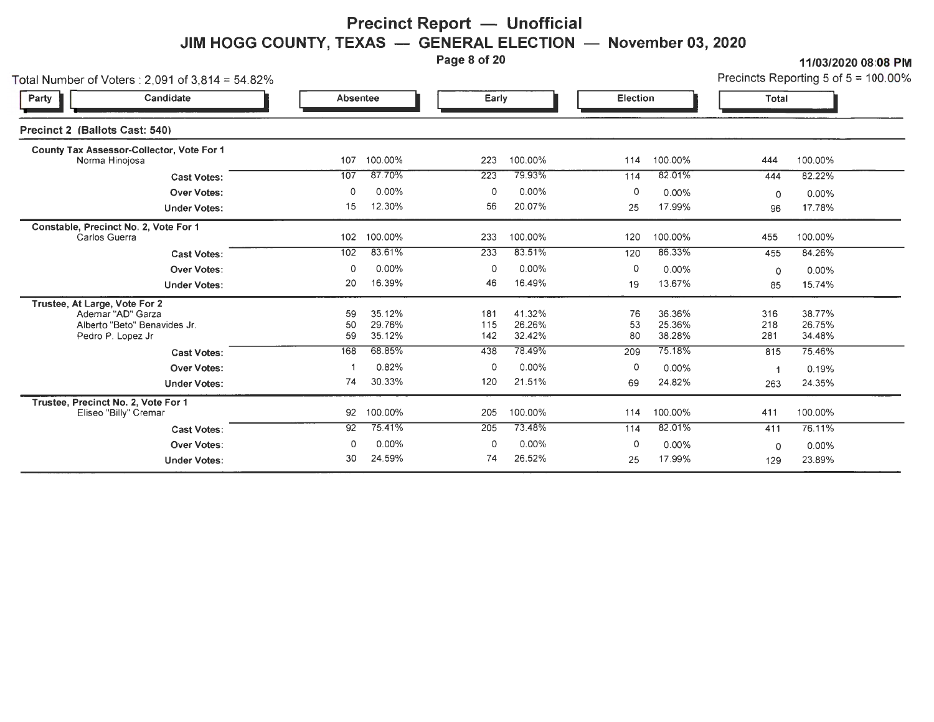#### **Precinct Report — Unofficial JIM HOGG COUNTY, TEXAS - GENERAL ELECTION - November 03, 2020**

Page 8 of 20 11/03/2020 08:08 PM

| Total Number of Voters : 2,091 of 3,814 = 54.82%                                                        |                 |                            |                   |                            |                |                            |                   | Precincts Reporting 5 of $5 = 100.00\%$ |
|---------------------------------------------------------------------------------------------------------|-----------------|----------------------------|-------------------|----------------------------|----------------|----------------------------|-------------------|-----------------------------------------|
| Party<br>Candidate                                                                                      | <b>Absentee</b> |                            | Early             |                            | Election       |                            | Total             |                                         |
| Precinct 2 (Ballots Cast: 540)                                                                          |                 |                            |                   |                            |                |                            |                   |                                         |
| County Tax Assessor-Collector, Vote For 1<br>Norma Hinojosa                                             | 107             | 100.00%                    | 223               | 100.00%                    | 114            | 100.00%                    | 444               | 100.00%                                 |
| <b>Cast Votes:</b>                                                                                      | 107             | 87.70%                     | 223               | 79.93%                     | 114            | 82.01%                     | 444               | 82.22%                                  |
| <b>Over Votes:</b>                                                                                      | 0               | 0.00%                      | 0                 | 0.00%                      | 0              | 0.00%                      | $\Omega$          | 0.00%                                   |
| <b>Under Votes:</b>                                                                                     | 15              | 12.30%                     | 56                | 20.07%                     | 25             | 17.99%                     | 96                | 17.78%                                  |
| Constable, Precinct No. 2, Vote For 1<br>Carlos Guerra                                                  | 102             | 100.00%                    | 233               | 100.00%                    | 120            | 100.00%                    | 455               | 100.00%                                 |
| <b>Cast Votes:</b>                                                                                      | 102             | 83.61%                     | 233               | 83.51%                     | 120            | 86.33%                     | 455               | 84.26%                                  |
| <b>Over Votes:</b>                                                                                      | 0               | 0.00%                      | 0                 | $0.00\%$                   | $\Omega$       | 0.00%                      | $\Omega$          | 0.00%                                   |
| <b>Under Votes:</b>                                                                                     | 20              | 16.39%                     | 46                | 16.49%                     | 19             | 13.67%                     | 85                | 15.74%                                  |
| Trustee, At Large, Vote For 2<br>Ademar "AD" Garza<br>Alberto "Beto" Benavides Jr.<br>Pedro P. Lopez Jr | 59<br>50<br>59  | 35.12%<br>29.76%<br>35.12% | 181<br>115<br>142 | 41.32%<br>26.26%<br>32.42% | 76<br>53<br>80 | 36.36%<br>25.36%<br>38.28% | 316<br>218<br>281 | 38.77%<br>26.75%<br>34.48%              |
| <b>Cast Votes:</b>                                                                                      | 168             | 68.85%                     | 438               | 78.49%                     | 209            | 75.18%                     | 815               | 75.46%                                  |
| Over Votes:                                                                                             |                 | 0.82%                      | 0                 | 0.00%                      | 0              | 0.00%                      | -1                | 0.19%                                   |
| <b>Under Votes:</b>                                                                                     | 74              | 30.33%                     | 120               | 21.51%                     | 69             | 24.82%                     | 263               | 24.35%                                  |
| Trustee, Precinct No. 2, Vote For 1<br>Eliseo "Billy" Cremar                                            | 92              | 100.00%                    | 205               | 100.00%                    | 114            | 100.00%                    | 411               | 100.00%                                 |
| <b>Cast Votes:</b>                                                                                      | 92              | 75.41%                     | 205               | 73.48%                     | 114            | 82.01%                     | 411               | 76.11%                                  |
| <b>Over Votes:</b>                                                                                      | 0               | 0.00%                      | 0                 | $0.00\%$                   | 0              | 0.00%                      | $\Omega$          | 0.00%                                   |
| <b>Under Votes:</b>                                                                                     | 30              | 24.59%                     | 74                | 26.52%                     | 25             | 17.99%                     | 129               | 23.89%                                  |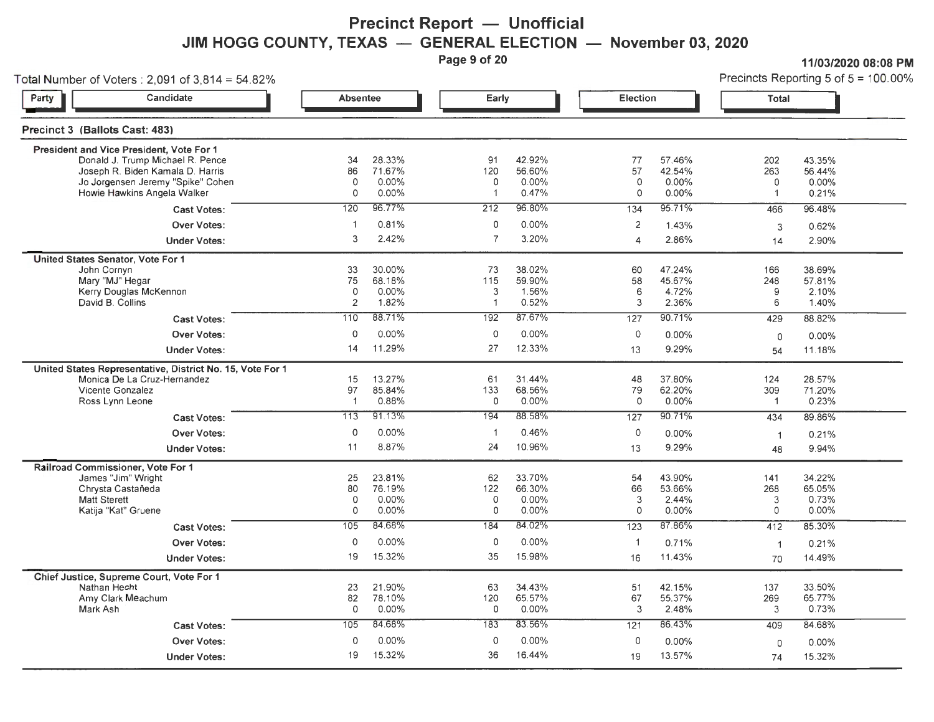**Precinct Report - Unofficial JIM HOGG COUNTY, TEXAS — GENERAL ELECTION — November 03, 2020**<br>Page 9 of 20

**Page 9 of 20 11/03/2020 08:08PM** 

| Total Number of Voters: $2,091$ of $3,814 = 54.82\%$ | Precincts Reporting 5 of $5 = 100.00\%$<br><u>in the second property of the second property of the second property of the second property of the second property of the second property of the second property of the second property of the second property of the second </u> |
|------------------------------------------------------|---------------------------------------------------------------------------------------------------------------------------------------------------------------------------------------------------------------------------------------------------------------------------------|
|------------------------------------------------------|---------------------------------------------------------------------------------------------------------------------------------------------------------------------------------------------------------------------------------------------------------------------------------|

| Candidate<br>Party                                                                                                                                                                   | <b>Absentee</b>                           |                                       |                                         | Early                                 |                           | <b>Election</b>                    | <b>Total</b>                                |                                    |
|--------------------------------------------------------------------------------------------------------------------------------------------------------------------------------------|-------------------------------------------|---------------------------------------|-----------------------------------------|---------------------------------------|---------------------------|------------------------------------|---------------------------------------------|------------------------------------|
| Precinct 3 (Ballots Cast: 483)                                                                                                                                                       |                                           |                                       |                                         |                                       |                           |                                    |                                             |                                    |
| President and Vice President, Vote For 1<br>Donald J. Trump Michael R. Pence<br>Joseph R. Biden Kamala D. Harris<br>Jo Jorgensen Jeremy "Spike" Cohen<br>Howie Hawkins Angela Walker | 34<br>86<br>$\Omega$<br>$\circ$           | 28.33%<br>71.67%<br>0.00%<br>0.00%    | 91<br>120<br>$\Omega$<br>$\overline{1}$ | 42.92%<br>56.60%<br>$0.00\%$<br>0.47% | 77<br>57<br>$\circ$<br>0  | 57.46%<br>42.54%<br>0.00%<br>0.00% | 202<br>263<br>0<br>$\mathbf{1}$             | 43.35%<br>56.44%<br>0.00%<br>0.21% |
| <b>Cast Votes:</b>                                                                                                                                                                   | 120                                       | 96.77%                                | 212                                     | 96.80%                                | 134                       | 95.71%                             | 466                                         | 96.48%                             |
| <b>Over Votes:</b><br><b>Under Votes:</b>                                                                                                                                            | $\mathbf 1$<br>3                          | 0.81%<br>2.42%                        | $\mathsf O$<br>$\overline{7}$           | $0.00\%$<br>3.20%                     | 2<br>$\overline{4}$       | 1.43%<br>2.86%                     | 3<br>14                                     | 0.62%<br>2.90%                     |
| United States Senator, Vote For 1                                                                                                                                                    |                                           |                                       |                                         |                                       |                           |                                    |                                             |                                    |
| John Cornyn<br>Mary "MJ" Hegar<br>Kerry Douglas McKennon<br>David B. Collins                                                                                                         | 33<br>75<br>$\mathbf 0$<br>$\overline{2}$ | 30.00%<br>68.18%<br>$0.00\%$<br>1.82% | 73<br>115<br>3<br>$\blacktriangleleft$  | 38.02%<br>59.90%<br>1.56%<br>0.52%    | 60<br>58<br>6<br>3        | 47.24%<br>45.67%<br>4.72%<br>2.36% | 166<br>248<br>9<br>6                        | 38.69%<br>57.81%<br>2.10%<br>1.40% |
| <b>Cast Votes:</b>                                                                                                                                                                   | 110                                       | 88.71%                                | 192                                     | 87.67%                                | 127                       | 90.71%                             | 429                                         | 88.82%                             |
| <b>Over Votes:</b>                                                                                                                                                                   | $\circ$                                   | 0.00%                                 | $\mathbf 0$                             | $0.00\%$                              | $\circ$                   | $0.00\%$                           | 0                                           | 0.00%                              |
| <b>Under Votes:</b>                                                                                                                                                                  | 14                                        | 11.29%                                | 27                                      | 12.33%                                | 13                        | 9.29%                              | 54                                          | 11.18%                             |
| United States Representative, District No. 15, Vote For 1<br>Monica De La Cruz-Hernandez<br>Vicente Gonzalez<br>Ross Lynn Leone                                                      | 15<br>97<br>$\overline{1}$                | 13.27%<br>85.84%<br>0.88%             | 61<br>133<br>$\mathbf{0}$               | 31.44%<br>68.56%<br>$0.00\%$          | 48<br>79<br>0             | 37.80%<br>62.20%<br>0.00%          | 124<br>309<br>$\overline{1}$                | 28.57%<br>71.20%<br>0.23%          |
| <b>Cast Votes:</b>                                                                                                                                                                   | 113                                       | 91.13%                                | 194                                     | 88.58%                                | 127                       | 90.71%                             | 434                                         | 89.86%                             |
| <b>Over Votes:</b>                                                                                                                                                                   | $\mathbf 0$                               | 0.00%                                 | $\blacktriangleleft$                    | 0.46%                                 | $\circ$                   | $0.00\%$                           | $\mathbf{1}$                                | 0.21%                              |
| <b>Under Votes:</b>                                                                                                                                                                  | 11                                        | 8.87%                                 | 24                                      | 10.96%                                | 13                        | 9.29%                              | 48                                          | 9.94%                              |
| Railroad Commissioner, Vote For 1<br>James "Jim" Wright<br>Chrysta Castañeda<br><b>Matt Sterett</b><br>Katija "Kat" Gruene                                                           | 25<br>80<br>$\circ$<br>$\Omega$           | 23.81%<br>76.19%<br>0.00%<br>0.00%    | 62<br>122<br>$\mathsf O$<br>$\mathbf 0$ | 33.70%<br>66.30%<br>0.00%<br>$0.00\%$ | 54<br>66<br>3<br>$\Omega$ | 43.90%<br>53.66%<br>2.44%<br>0.00% | 141<br>268<br>$\mathfrak 3$<br>$\mathbf{0}$ | 34.22%<br>65.05%<br>0.73%<br>0.00% |
| <b>Cast Votes:</b>                                                                                                                                                                   | 105                                       | 84.68%                                | 184                                     | 84.02%                                | 123                       | 87.86%                             | 412                                         | 85.30%                             |
| <b>Over Votes:</b>                                                                                                                                                                   | $\mathbf 0$                               | 0.00%                                 | $\mathbf 0$                             | 0.00%                                 | $\mathbf{1}$              | 0.71%                              | $\blacktriangleleft$                        | 0.21%                              |
| <b>Under Votes:</b>                                                                                                                                                                  | 19                                        | 15.32%                                | 35                                      | 15.98%                                | 16                        | 11.43%                             | 70                                          | 14.49%                             |
| Chief Justice, Supreme Court, Vote For 1<br>Nathan Hecht<br>Amy Clark Meachum<br>Mark Ash                                                                                            | 23<br>82<br>$\circ$                       | 21.90%<br>78.10%<br>0.00%             | 63<br>120<br>$\mathbf 0$                | 34.43%<br>65.57%<br>0.00%             | 51<br>67<br>3             | 42.15%<br>55.37%<br>2.48%          | 137<br>269<br>3                             | 33.50%<br>65.77%<br>0.73%          |
| <b>Cast Votes:</b>                                                                                                                                                                   | 105                                       | 84.68%                                | 183                                     | 83.56%                                | $\overline{121}$          | 86.43%                             | 409                                         | 84.68%                             |
| <b>Over Votes:</b>                                                                                                                                                                   | $\Omega$                                  | 0.00%                                 | $\mathsf O$                             | $0.00\%$                              | 0                         | 0.00%                              | 0                                           | 0.00%                              |
| <b>Under Votes:</b>                                                                                                                                                                  | 19                                        | 15.32%                                | 36                                      | 16.44%                                | 19                        | 13.57%                             | 74                                          | 15.32%                             |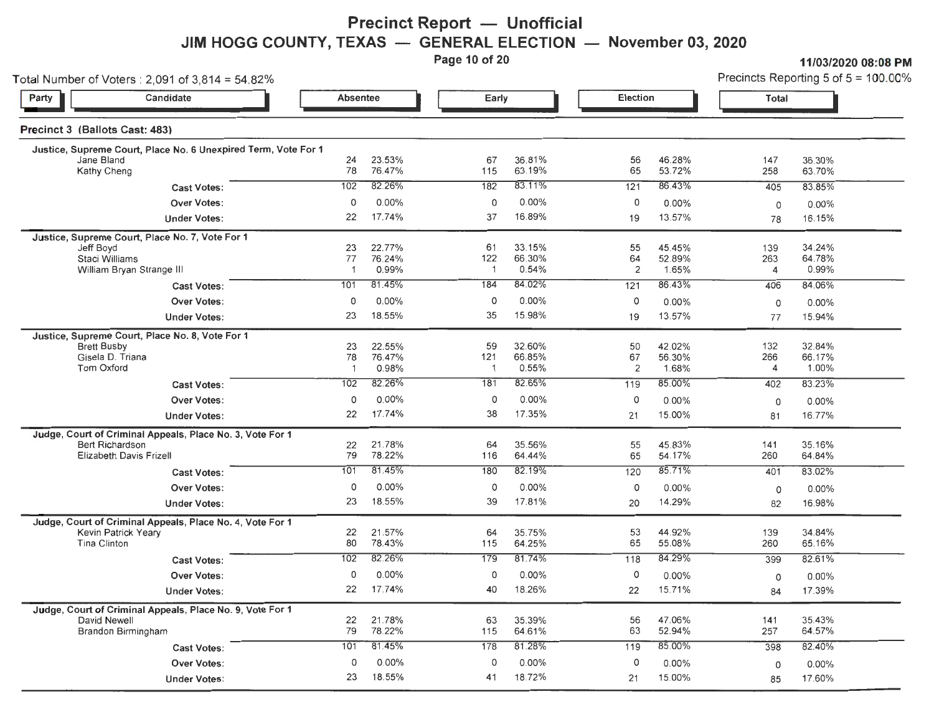## **Precinct Report - Unofficial JIM HOGG COUNTY, TEXAS — GENERAL ELECTION — November 03, 2020**<br>Page 10 of 20

**Page 11/03/2020 08:08 Precincts Reporting 5 of 5 = 100 00%** 

| Total Number of Voters : 2,091 of 3,814 = 54.82%                             |                      |                  |                     |                  |                      |                  |                | Precincts Reporting 5 of $5 = 100.00$ <sup>9</sup> |
|------------------------------------------------------------------------------|----------------------|------------------|---------------------|------------------|----------------------|------------------|----------------|----------------------------------------------------|
| Candidate<br>Party                                                           | Absentee             |                  | Early               |                  | Election             |                  | <b>Total</b>   |                                                    |
| Precinct 3 (Ballots Cast: 483)                                               |                      |                  |                     |                  |                      |                  |                |                                                    |
| Justice, Supreme Court, Place No. 6 Unexpired Term, Vote For 1<br>Jane Bland | 24                   | 23.53%           | 67                  | 36.81%           | 56                   | 46.28%           | 147            | 36.30%                                             |
| Kathy Cheng                                                                  | 78                   | 76.47%           | 115                 | 63.19%           | 65                   | 53.72%           | 258            | 63.70%                                             |
| <b>Cast Votes:</b>                                                           | 102                  | 82.26%           | 182                 | 83.11%           | 121                  | 86.43%           | 405            | 83.85%                                             |
| <b>Over Votes:</b>                                                           | $\mathbf 0$          | 0.00%            | 0                   | 0.00%            | 0                    | 0.00%            | 0              | $0.00\%$                                           |
| <b>Under Votes:</b>                                                          | 22                   | 17.74%           | 37                  | 16.89%           | 19                   | 13.57%           | 78             | 16.15%                                             |
| Justice, Supreme Court, Place No. 7, Vote For 1                              |                      |                  |                     |                  |                      |                  |                |                                                    |
| Jeff Boyd                                                                    | 23                   | 22.77%           | 61                  | 33.15%           | 55                   | 45.45%           | 139            | 34.24%                                             |
| Staci Williams<br>William Bryan Strange III                                  | 77<br>$\overline{1}$ | 76.24%<br>0.99%  | 122<br>$\mathbf{1}$ | 66.30%<br>0.54%  | 64<br>$\overline{2}$ | 52.89%<br>1.65%  | 263<br>4       | 64.78%<br>0.99%                                    |
| <b>Cast Votes:</b>                                                           | 101                  | 81.45%           | 184                 | 84.02%           | 121                  | 86.43%           | 406            | 84.06%                                             |
| <b>Over Votes:</b>                                                           | 0                    | 0.00%            | 0                   | 0.00%            | 0                    | $0.00\%$         | 0              | 0.00%                                              |
| <b>Under Votes:</b>                                                          | 23                   | 18.55%           | 35                  | 15.98%           | 19                   | 13.57%           | 77             | 15.94%                                             |
|                                                                              |                      |                  |                     |                  |                      |                  |                |                                                    |
| Justice, Supreme Court, Place No. 8, Vote For 1<br><b>Brett Busby</b>        | 23                   | 22.55%           | 59                  | 32.60%           | 50                   | 42.02%           | 132            | 32.84%                                             |
| Gisela D. Triana                                                             | 78                   | 76.47%           | 121                 | 66.85%           | 67                   | 56.30%           | 266            | 66.17%                                             |
| Tom Oxford                                                                   | $\overline{1}$       | 0.98%            | -1                  | 0.55%            | $\overline{2}$       | 1.68%            | $\overline{4}$ | 1.00%                                              |
| <b>Cast Votes:</b>                                                           | 102                  | 82.26%           | 181                 | 82.65%           | 119                  | 85.00%           | 402            | 83.23%                                             |
| <b>Over Votes:</b>                                                           | $\circ$              | $0.00\%$         | 0                   | $0.00\%$         | 0                    | 0.00%            | 0              | $0.00\%$                                           |
| <b>Under Votes:</b>                                                          | 22                   | 17.74%           | 38                  | 17.35%           | 21                   | 15.00%           | 81             | 16.77%                                             |
| Judge, Court of Criminal Appeals, Place No. 3, Vote For 1                    |                      |                  |                     |                  |                      |                  |                |                                                    |
| <b>Bert Richardson</b>                                                       | 22<br>79             | 21.78%<br>78.22% | 64<br>116           | 35.56%<br>64.44% | 55<br>65             | 45.83%<br>54.17% | 141<br>260     | 35.16%<br>64.84%                                   |
| Elizabeth Davis Frizell                                                      | 101                  | 81.45%           | 180                 | 82.19%           |                      | 85.71%           | 401            | 83.02%                                             |
| <b>Cast Votes:</b>                                                           |                      |                  |                     |                  | 120                  |                  |                |                                                    |
| <b>Over Votes:</b>                                                           | $\circ$              | 0.00%            | 0                   | 0.00%            | 0                    | 0.00%            | 0              | $0.00\%$                                           |
| <b>Under Votes:</b>                                                          | 23                   | 18.55%           | 39                  | 17.81%           | 20                   | 14.29%           | 82             | 16.98%                                             |
| Judge, Court of Criminal Appeals, Place No. 4, Vote For 1                    |                      |                  |                     |                  |                      |                  |                |                                                    |
| <b>Kevin Patrick Yeary</b><br>Tina Clinton                                   | 22<br>80             | 21.57%<br>78.43% | 64<br>115           | 35.75%<br>64.25% | 53<br>65             | 44.92%<br>55.08% | 139<br>260     | 34.84%<br>65.16%                                   |
| <b>Cast Votes:</b>                                                           | 102                  | 82.26%           | 179                 | 81.74%           | 118                  | 84.29%           | 399            | 82.61%                                             |
| <b>Over Votes:</b>                                                           | 0                    | 0.00%            | 0                   | 0.00%            | $\mathsf{O}\xspace$  | 0.00%            |                | $0.00\%$                                           |
|                                                                              | 22                   | 17.74%           | 40                  | 18.26%           | 22                   | 15.71%           | 0<br>84        | 17.39%                                             |
| <b>Under Votes:</b>                                                          |                      |                  |                     |                  |                      |                  |                |                                                    |
| Judge, Court of Criminal Appeals, Place No. 9, Vote For 1<br>David Newell    | 22                   | 21.78%           | 63                  | 35.39%           | 56                   | 47.06%           | 141            | 35.43%                                             |
| Brandon Birmingham                                                           | 79                   | 78.22%           | 115                 | 64.61%           | 63                   | 52.94%           | 257            | 64.57%                                             |
| <b>Cast Votes:</b>                                                           | 101                  | 81.45%           | 178                 | 81.28%           | 119                  | 85.00%           | 398            | 82.40%                                             |
| <b>Over Votes:</b>                                                           | 0                    | 0.00%            | 0                   | 0.00%            | $\circ$              | 0.00%            | 0              | 0.00%                                              |
| <b>Under Votes:</b>                                                          | 23                   | 18.55%           | 41                  | 18.72%           | 21                   | 15.00%           | 85             | 17.60%                                             |
|                                                                              |                      |                  |                     |                  |                      |                  |                |                                                    |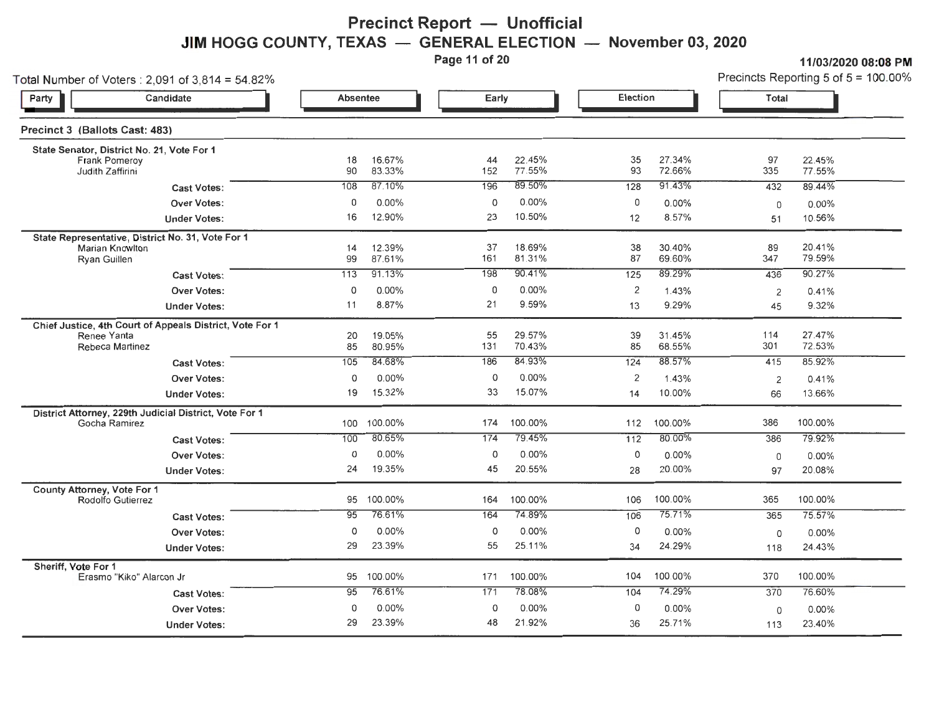# **Precinct Report - Unofficial JIM HOGG COUNTY, TEXAS — GENERAL ELECTION — November 03, 2020**<br>Page 11 of 20

**Page 11/03/2020 08:08 PM**<br>Precincts Reporting 5 of 5 = 100 00%

| Total Number of Voters : 2,091 of 3,814 = 54.82%         |             |                  |           |                  |                 |                  |             | Precincts Reporting 5 of $5 = 100.00$ |
|----------------------------------------------------------|-------------|------------------|-----------|------------------|-----------------|------------------|-------------|---------------------------------------|
| Candidate<br>Party                                       | Absentee    |                  | Early     |                  | Election        |                  | Total       |                                       |
| Precinct 3 (Ballots Cast: 483)                           |             |                  |           |                  |                 |                  |             |                                       |
| State Senator, District No. 21, Vote For 1               |             |                  |           |                  |                 |                  | 97          |                                       |
| <b>Frank Pomeroy</b><br>Judith Zaffirini                 | 18<br>90    | 16.67%<br>83.33% | 44<br>152 | 22.45%<br>77.55% | 35<br>93        | 27.34%<br>72.66% | 335         | 22.45%<br>77.55%                      |
| <b>Cast Votes:</b>                                       | 108         | 87.10%           | 196       | 89.50%           | 128             | 91.43%           | 432         | 89.44%                                |
| <b>Over Votes:</b>                                       | $\mathbf 0$ | $0.00\%$         | 0         | 0.00%            | 0               | 0.00%            | $\mathbf 0$ | 0.00%                                 |
| <b>Under Votes:</b>                                      | 16          | 12.90%           | 23        | 10.50%           | 12              | 8.57%            | 51          | 10.56%                                |
| State Representative, District No. 31, Vote For 1        |             |                  |           |                  |                 |                  |             |                                       |
| Marian Knowlton<br>Ryan Guillen                          | 14<br>99    | 12.39%<br>87.61% | 37<br>161 | 18.69%<br>81.31% | 38<br>87        | 30.40%<br>69.60% | 89<br>347   | 20.41%<br>79.59%                      |
| <b>Cast Votes:</b>                                       | 113         | 91.13%           | 198       | 90.41%           | $\frac{125}{x}$ | 89.29%           | 436         | 90.27%                                |
| <b>Over Votes:</b>                                       | 0           | 0.00%            | 0         | 0.00%            | 2               | 1.43%            | 2           | 0.41%                                 |
| <b>Under Votes:</b>                                      | 11          | 8.87%            | 21        | 9.59%            | 13              | 9.29%            | 45          | 9.32%                                 |
| Chief Justice, 4th Court of Appeals District, Vote For 1 |             |                  |           |                  |                 |                  |             |                                       |
| Renee Yanta<br>Rebeca Martinez                           | 20<br>85    | 19.05%<br>80.95% | 55<br>131 | 29.57%<br>70.43% | 39<br>85        | 31.45%<br>68.55% | 114<br>301  | 27.47%<br>72.53%                      |
| <b>Cast Votes:</b>                                       | 105         | 84.68%           | 186       | 84.93%           | 124             | 88.57%           | 415         | 85.92%                                |
| <b>Over Votes:</b>                                       | 0           | 0.00%            | 0         | 0.00%            | $\overline{2}$  | 1.43%            | 2           | 0.41%                                 |
| <b>Under Votes:</b>                                      | 19          | 15.32%           | 33        | 15.07%           | 14              | 10.00%           | 66          | 13.66%                                |
| District Attorney, 229th Judicial District, Vote For 1   |             |                  |           |                  |                 |                  |             |                                       |
| Gocha Ramirez                                            |             | 100 100.00%      | 174       | 100.00%          | 112             | 100.00%          | 386         | 100.00%                               |
| <b>Cast Votes:</b>                                       | 100         | 80.65%           | 174       | 79.45%           | $\frac{1}{112}$ | 80.00%           | 386         | 79.92%                                |
| <b>Over Votes:</b>                                       | 0           | 0.00%            | 0         | 0.00%            | 0               | 0.00%            | 0           | 0.00%                                 |
| <b>Under Votes:</b>                                      | 24          | 19.35%           | 45        | 20.55%           | 28              | 20.00%           | 97          | 20.08%                                |
| County Attorney, Vote For 1<br>Rodolfo Gutierrez         | 95          | 100.00%          | 164       | 100.00%          | 106             | 100.00%          | 365         | 100.00%                               |
| <b>Cast Votes:</b>                                       | 95          | 76.61%           | 164       | 74.89%           | 106             | 75.71%           | 365         | 75.57%                                |
| <b>Over Votes:</b>                                       | $\circ$     | $0.00\%$         | 0         | 0.00%            | 0               | $0.00\%$         | 0           | 0.00%                                 |
| <b>Under Votes:</b>                                      | 29          | 23.39%           | 55        | 25.11%           | 34              | 24.29%           | 118         | 24.43%                                |
| Sheriff, Vote For 1<br>Erasmo "Kiko" Alarcon Jr          | 95          | 100.00%          | 171       | 100.00%          | 104             | 100.00%          | 370         | 100.00%                               |
| <b>Cast Votes:</b>                                       | 95          | 76.61%           | 171       | 78.08%           | 104             | 74.29%           | 370         | 76.60%                                |
| <b>Over Votes:</b>                                       | 0           | $0.00\%$         | 0         | 0.00%            | 0               | $0.00\%$         | 0           | 0.00%                                 |
| <b>Under Votes:</b>                                      | 29          | 23.39%           | 48        | 21.92%           | 36              | 25.71%           | 113         | 23.40%                                |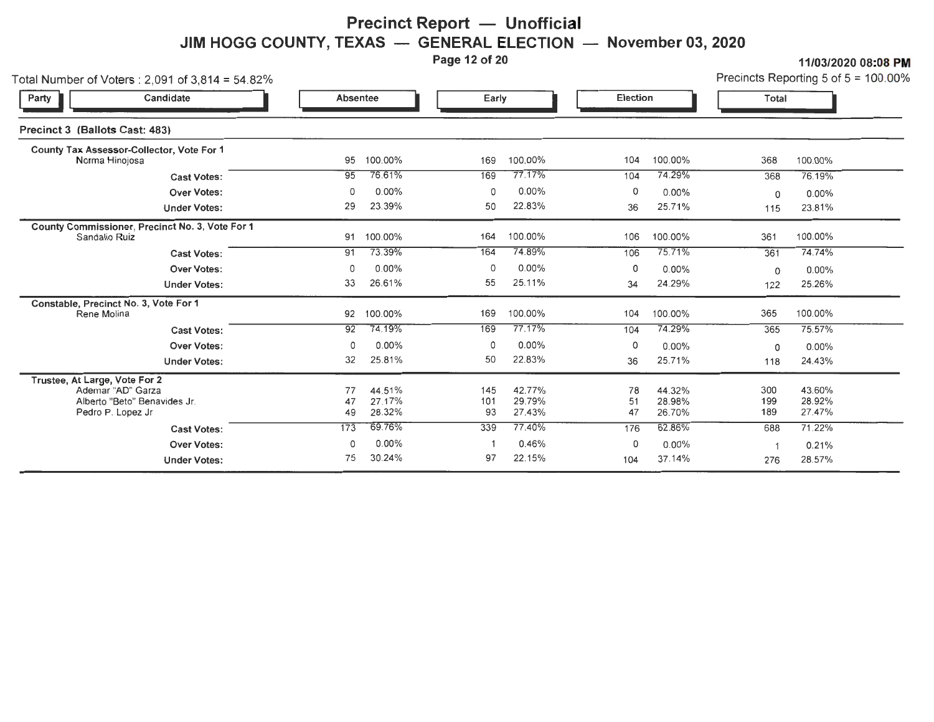# **Precinct Report - Unofficial JIM HOGG COUNTY, TEXAS — GENERAL ELECTION — November 03, 2020**<br>Page 12 of 20

| 11/03/2020 08 08 PM                     |  |
|-----------------------------------------|--|
| Precincts Reporting 5 of $5 = 100.00\%$ |  |

| Total Number of Voters: $2,091$ of $3,814 = 54.82\%$                                                    |                 |                            |                  |                            |                |                            |                   | Precincts Reporting 5 of $5 = 100.00$ |
|---------------------------------------------------------------------------------------------------------|-----------------|----------------------------|------------------|----------------------------|----------------|----------------------------|-------------------|---------------------------------------|
| Candidate<br>Party                                                                                      | <b>Absentee</b> |                            | Early            |                            | Election       |                            | Total             |                                       |
| Precinct 3 (Ballots Cast: 483)                                                                          |                 |                            |                  |                            |                |                            |                   |                                       |
| County Tax Assessor-Collector, Vote For 1<br>Norma Hinojosa                                             | 95              | 100.00%                    | 169              | 100.00%                    | 104            | 100.00%                    | 368               | 100.00%                               |
| <b>Cast Votes:</b>                                                                                      | 95              | 76.61%                     | 169              | 77.17%                     | 104            | 74.29%                     | 368               | 76.19%                                |
| <b>Over Votes:</b>                                                                                      | 0               | 0.00%                      | 0                | 0.00%                      | 0              | 0.00%                      | 0                 | 0.00%                                 |
| <b>Under Votes:</b>                                                                                     | 29              | 23.39%                     | 50               | 22.83%                     | 36             | 25.71%                     | 115               | 23.81%                                |
| County Commissioner, Precinct No. 3, Vote For 1<br>Sandalio Ruiz                                        | 91              | 100.00%                    | 164              | 100.00%                    | 106            | 100.00%                    | 361               | 100.00%                               |
| <b>Cast Votes:</b>                                                                                      | 91              | 73.39%                     | 164              | 74.89%                     | 106            | 75.71%                     | 361               | 74.74%                                |
| <b>Over Votes:</b>                                                                                      | 0               | $0.00\%$                   | 0                | 0.00%                      | 0              | 0.00%                      | 0                 | 0.00%                                 |
| <b>Under Votes:</b>                                                                                     | 33              | 26.61%                     | 55               | 25.11%                     | 34             | 24.29%                     | 122               | 25.26%                                |
| Constable, Precinct No. 3, Vote For 1<br>Rene Molina                                                    | 92              | 100.00%                    | 169              | 100.00%                    | 104            | 100.00%                    | 365               | 100.00%                               |
| <b>Cast Votes:</b>                                                                                      | 92              | 74.19%                     | 169              | 77.17%                     | 104            | 74.29%                     | 365               | 75.57%                                |
| <b>Over Votes:</b>                                                                                      | 0               | 0.00%                      | 0                | 0.00%                      | 0              | $0.00\%$                   | 0                 | $0.00\%$                              |
| <b>Under Votes:</b>                                                                                     | 32              | 25.81%                     | 50               | 22.83%                     | 36             | 25.71%                     | 118               | 24.43%                                |
| Trustee, At Large, Vote For 2<br>Ademar "AD" Garza<br>Alberto "Beto" Benavides Jr.<br>Pedro P. Lopez Jr | 77<br>47<br>49  | 44.51%<br>27.17%<br>28.32% | 145<br>101<br>93 | 42.77%<br>29.79%<br>27.43% | 78<br>51<br>47 | 44.32%<br>28.98%<br>26.70% | 300<br>199<br>189 | 43.60%<br>28.92%<br>27.47%            |
| <b>Cast Votes:</b>                                                                                      | 173             | 69.76%                     | 339              | 77.40%                     | 176            | 62.86%                     | 688               | 71.22%                                |
| <b>Over Votes:</b>                                                                                      | 0               | 0.00%                      |                  | 0.46%                      | 0              | 0.00%                      |                   | 0.21%                                 |
| <b>Under Votes:</b>                                                                                     | 75              | 30.24%                     | 97               | 22.15%                     | 104            | 37.14%                     | 276               | 28.57%                                |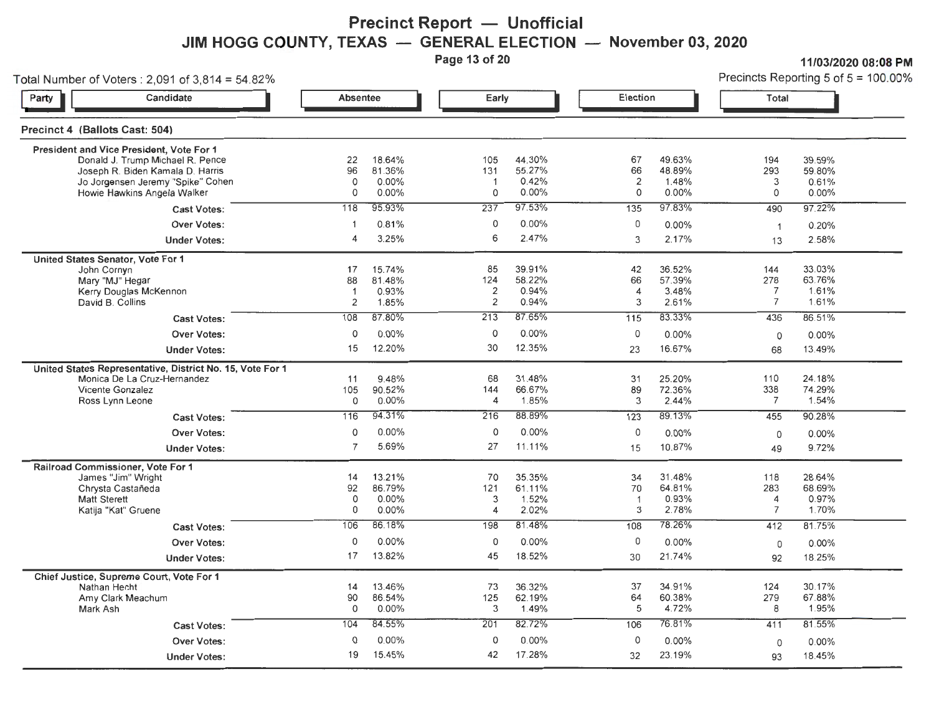## **Precinct Report - Unofficial JIM HOGG COUNTY, TEXAS — GENERAL ELECTION — November 03, 2020**<br>Page 13 of 20

11/03/2020 08:08 Precincts Reporting 5 of  $5 = 100.00\%$ 

| Total Number of Voters : 2,091 of 3,814 = 54.82%                                                                                                                                     |                                                                 |                                                         |                                                                 |                                               |                                                                 |                                              |                                                                 | Precincts Reporting 5 of 5 = 100.00%                |                                                                    |  |
|--------------------------------------------------------------------------------------------------------------------------------------------------------------------------------------|-----------------------------------------------------------------|---------------------------------------------------------|-----------------------------------------------------------------|-----------------------------------------------|-----------------------------------------------------------------|----------------------------------------------|-----------------------------------------------------------------|-----------------------------------------------------|--------------------------------------------------------------------|--|
| Candidate<br>Party                                                                                                                                                                   |                                                                 | <b>Absentee</b>                                         |                                                                 | Early                                         |                                                                 | Election                                     |                                                                 | Total                                               |                                                                    |  |
| Precinct 4 (Ballots Cast: 504)                                                                                                                                                       |                                                                 |                                                         |                                                                 |                                               |                                                                 |                                              |                                                                 |                                                     |                                                                    |  |
| President and Vice President, Vote For 1<br>Donald J. Trump Michael R. Pence<br>Joseph R. Biden Kamala D. Harris<br>Jo Jorgensen Jeremy "Spike" Cohen<br>Howie Hawkins Angela Walker |                                                                 | 22<br>96<br>$\mathbf 0$<br>$\circ$                      | 18.64%<br>81.36%<br>$0.00\%$<br>0.00%                           | 105<br>131<br>$\overline{1}$<br>0             | 44.30%<br>55.27%<br>0.42%<br>0.00%                              | 67<br>66<br>2<br>0                           | 49.63%<br>48.89%<br>1.48%<br>0.00%                              | 194<br>293<br>3<br>0                                | 39.59%<br>59.80%<br>0.61%<br>$0.00\%$                              |  |
|                                                                                                                                                                                      | <b>Cast Votes:</b><br><b>Over Votes:</b><br><b>Under Votes:</b> | 118<br>$\overline{1}$<br>$\overline{4}$                 | 95.93%<br>0.81%<br>3.25%                                        | 237<br>0<br>6                                 | 97.53%<br>$0.00\%$<br>2.47%                                     | 135<br>0<br>3                                | 97.83%<br>$0.00\%$<br>2.17%                                     | 490<br>$\mathbf{1}$<br>13                           | 97.22%<br>0.20%<br>2.58%                                           |  |
| United States Senator, Vote For 1<br>John Cornyn<br>Mary "MJ" Hegar<br>Kerry Douglas McKennon<br>David B. Collins                                                                    | <b>Cast Votes:</b><br>Over Votes:<br><b>Under Votes:</b>        | 17<br>88<br>$\overline{1}$<br>2<br>108<br>$\circ$<br>15 | 15.74%<br>81.48%<br>0.93%<br>1.85%<br>87.80%<br>0.00%<br>12.20% | 85<br>124<br>2<br>2<br>213<br>0<br>30         | 39.91%<br>58.22%<br>0.94%<br>0.94%<br>87.65%<br>0.00%<br>12.35% | 42<br>66<br>4<br>3<br>115<br>0<br>23         | 36.52%<br>57.39%<br>3.48%<br>2.61%<br>83.33%<br>0.00%<br>16.67% | 144<br>278<br>7<br>$\overline{7}$<br>436<br>0<br>68 | 33.03%<br>63.76%<br>1.61%<br>1.61%<br>86.51%<br>$0.00\%$<br>13.49% |  |
| United States Representative, District No. 15, Vote For 1<br>Monica De La Cruz-Hernandez<br>Vicente Gonzalez<br>Ross Lynn Leone                                                      | <b>Cast Votes:</b><br><b>Over Votes:</b>                        | 11<br>105<br>0<br>116<br>0                              | 9.48%<br>90.52%<br>0.00%<br>94.31%<br>0.00%                     | 68<br>144<br>$\overline{4}$<br>216<br>$\circ$ | 31.48%<br>66.67%<br>1.85%<br>88.89%<br>$0.00\%$                 | 31<br>89<br>3<br>123<br>0                    | 25.20%<br>72.36%<br>2.44%<br>89.13%<br>0.00%                    | 110<br>338<br>$\overline{7}$<br>455<br>0            | 24.18%<br>74.29%<br>1.54%<br>90.28%<br>$0.00\%$                    |  |
| Railroad Commissioner, Vote For 1<br>James "Jim" Wright<br>Chrysta Castañeda<br><b>Matt Sterett</b><br>Katija "Kat" Gruene                                                           | <b>Under Votes:</b><br><b>Cast Votes:</b>                       | $\overline{7}$<br>14<br>92<br>0<br>0<br>106             | 5.69%<br>13.21%<br>86.79%<br>0.00%<br>0.00%<br>86.18%           | 27<br>70<br>121<br>3<br>4<br>198              | 11.11%<br>35.35%<br>61.11%<br>1.52%<br>2.02%<br>81.48%          | 15<br>34<br>70<br>$\overline{1}$<br>3<br>108 | 10.87%<br>31.48%<br>64.81%<br>0.93%<br>2.78%<br>78.26%          | 49<br>118<br>283<br>4<br>$\overline{7}$<br>412      | 9.72%<br>28.64%<br>68.69%<br>0.97%<br>1.70%<br>81.75%              |  |
|                                                                                                                                                                                      | <b>Over Votes:</b><br><b>Under Votes:</b>                       | 0<br>17                                                 | 0.00%<br>13.82%                                                 | $\mathsf{O}$<br>45                            | 0.00%<br>18.52%                                                 | $\mathsf 0$<br>30                            | $0.00\%$<br>21.74%                                              | $\mathbf 0$<br>92                                   | $0.00\%$<br>18.25%                                                 |  |
| Chief Justice, Supreme Court, Vote For 1<br>Nathan Hecht<br>Amy Clark Meachum<br>Mark Ash                                                                                            |                                                                 | 14<br>90<br>0<br>104                                    | 13.46%<br>86.54%<br>0.00%<br>84.55%                             | 73<br>125<br>3<br>201                         | 36.32%<br>62.19%<br>1.49%<br>82.72%                             | 37<br>64<br>5<br>106                         | 34.91%<br>60.38%<br>4.72%<br>76.81%                             | 124<br>279<br>8<br>411                              | 30.17%<br>67.88%<br>1.95%<br>81.55%                                |  |
|                                                                                                                                                                                      | <b>Cast Votes:</b><br><b>Over Votes:</b><br><b>Under Votes:</b> | 0<br>19                                                 | 0.00%<br>15.45%                                                 | $\mathsf{O}$<br>42                            | 0.00%<br>17.28%                                                 | 0<br>32                                      | 0.00%<br>23.19%                                                 | $\mathsf{O}$<br>93                                  | $0.00\%$<br>18.45%                                                 |  |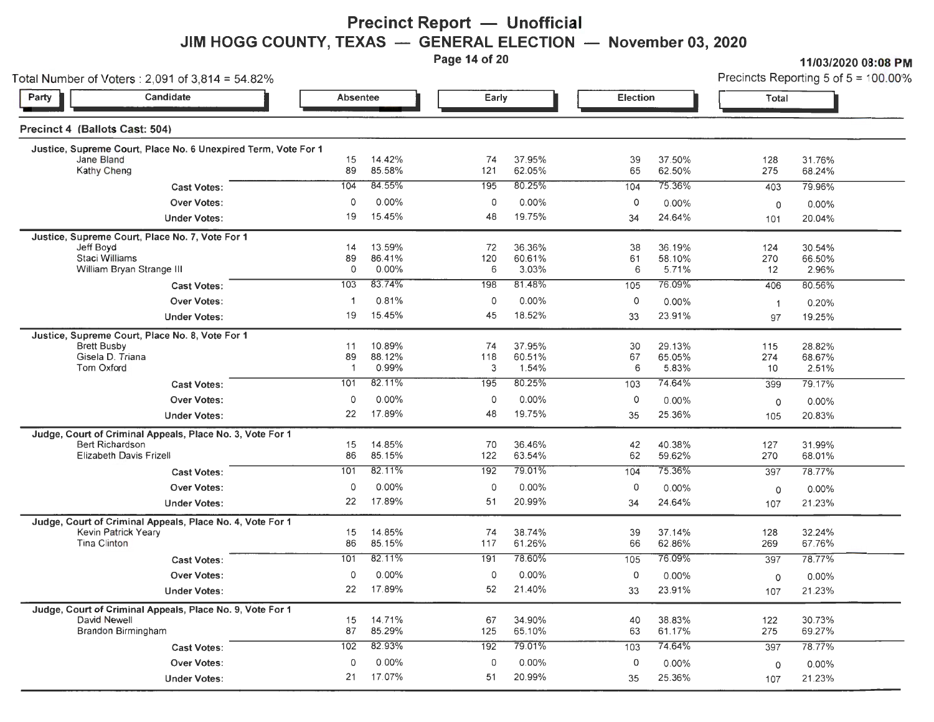## **Precinct Report - Unofficial JIM HOGG COUNTY, TEXAS — GENERAL ELECTION — November 03, 2020**<br>Page 14 of 20

11/03/2020 08:08 PM

| Total Number of Voters: 2,091 of 3,814 = 54.82%                |                      |                  |           |                  |                     | Precincts Reporting 5 of $5 = 100.00\%$ |                |                    |
|----------------------------------------------------------------|----------------------|------------------|-----------|------------------|---------------------|-----------------------------------------|----------------|--------------------|
| Candidate<br>Party                                             | Absentee             |                  | Early     |                  | <b>Election</b>     |                                         | Total          |                    |
| Precinct 4 (Ballots Cast: 504)                                 |                      |                  |           |                  |                     |                                         |                |                    |
| Justice, Supreme Court, Place No. 6 Unexpired Term, Vote For 1 |                      |                  |           |                  |                     |                                         |                |                    |
| Jane Bland<br><b>Kathy Cheng</b>                               | 15<br>89             | 14.42%<br>85.58% | 74<br>121 | 37.95%<br>62.05% | 39<br>65            | 37.50%<br>62.50%                        | 128<br>275     | 31.76%<br>68.24%   |
| <b>Cast Votes:</b>                                             | 104                  | 84.55%           | 195       | 80.25%           | 104                 | 75.36%                                  | 403            | 79.96%             |
| Over Votes:                                                    | $\mathbf 0$          | 0.00%            | 0         | 0.00%            | $\circ$             | $0.00\%$                                |                |                    |
| <b>Under Votes:</b>                                            | 19                   | 15.45%           | 48        | 19.75%           | 34                  | 24.64%                                  | 0<br>101       | $0.00\%$<br>20.04% |
|                                                                |                      |                  |           |                  |                     |                                         |                |                    |
| Justice, Supreme Court, Place No. 7, Vote For 1<br>Jeff Boyd   | 14                   | 13.59%           | 72        | 36.36%           | 38                  | 36.19%                                  | 124            | 30.54%             |
| Staci Williams                                                 | 89                   | 86.41%           | 120       | 60.61%           | 61                  | 58.10%                                  | 270            | 66.50%             |
| William Bryan Strange III                                      | $\circ$              | 0.00%            | 6         | 3.03%            | 6                   | 5.71%                                   | 12             | 2.96%              |
| <b>Cast Votes:</b>                                             | 103                  | 83.74%           | 198       | 81.48%           | 105                 | 76.09%                                  | 406            | 80.56%             |
| Over Votes:                                                    | -1                   | 0.81%            | $\circ$   | 0.00%            | $\mathsf{O}\xspace$ | $0.00\%$                                | $\overline{1}$ | 0.20%              |
| <b>Under Votes:</b>                                            | 19                   | 15.45%           | 45        | 18.52%           | 33                  | 23.91%                                  | 97             | 19.25%             |
| Justice, Supreme Court, Place No. 8, Vote For 1                |                      |                  |           |                  |                     |                                         |                |                    |
| <b>Brett Busby</b>                                             | 11                   | 10.89%           | 74        | 37.95%           | 30                  | 29.13%                                  | 115            | 28.82%             |
| Gisela D. Triana<br><b>Tom Oxford</b>                          | 89<br>$\overline{1}$ | 88.12%<br>0.99%  | 118<br>3  | 60.51%<br>1.54%  | 67<br>6             | 65.05%<br>5.83%                         | 274<br>10      | 68.67%<br>2.51%    |
| <b>Cast Votes:</b>                                             | 101                  | 82.11%           | 195       | 80.25%           | 103                 | 74.64%                                  | 399            | 79.17%             |
| <b>Over Votes:</b>                                             | $\circ$              | 0.00%            | 0         | $0.00\%$         | 0                   | $0.00\%$                                | $\circ$        | 0.00%              |
| <b>Under Votes:</b>                                            | 22                   | 17.89%           | 48        | 19.75%           | 35                  | 25.36%                                  | 105            | 20.83%             |
| Judge, Court of Criminal Appeals, Place No. 3, Vote For 1      |                      |                  |           |                  |                     |                                         |                |                    |
| <b>Bert Richardson</b>                                         | 15                   | 14.85%           | 70        | 36.46%           | 42                  | 40.38%                                  | 127            | 31.99%             |
| Elizabeth Davis Frizell                                        | 86                   | 85.15%           | 122       | 63.54%           | 62                  | 59.62%                                  | 270            | 68.01%             |
| <b>Cast Votes:</b>                                             | 101                  | 82.11%           | 192       | 79.01%           | 104                 | 75.36%                                  | 397            | 78.77%             |
| <b>Over Votes:</b>                                             | $\circ$              | 0.00%            | $\circ$   | 0.00%            | 0                   | 0.00%                                   | $\circ$        | 0.00%              |
| <b>Under Votes:</b>                                            | 22                   | 17.89%           | 51        | 20.99%           | 34                  | 24.64%                                  | 107            | 21.23%             |
| Judge, Court of Criminal Appeals, Place No. 4, Vote For 1      |                      |                  |           |                  |                     |                                         |                |                    |
| Kevin Patrick Yeary                                            | 15                   | 14.85%           | 74        | 38.74%           | 39                  | 37.14%                                  | 128            | 32.24%             |
| Tina Clinton                                                   | 86                   | 85.15%           | 117       | 61.26%           | 66                  | 62.86%                                  | 269            | 67.76%             |
| <b>Cast Votes:</b>                                             | 101                  | 82.11%           | 191       | 78.60%           | 105                 | 76.09%                                  | 397            | 78.77%             |
| Over Votes:                                                    | $\circ$              | 0.00%            | $\circ$   | $0.00\%$         | $\circ$             | $0.00\%$                                | $\circ$        | 0.00%              |
| <b>Under Votes:</b>                                            | 22                   | 17.89%           | 52        | 21.40%           | 33                  | 23.91%                                  | 107            | 21.23%             |
| Judge, Court of Criminal Appeals, Place No. 9, Vote For 1      |                      |                  |           |                  |                     |                                         |                |                    |
| David Newell<br>Brandon Birmingham                             | 15<br>87             | 14.71%<br>85.29% | 67<br>125 | 34.90%<br>65.10% | 40<br>63            | 38.83%<br>61.17%                        | 122<br>275     | 30.73%<br>69.27%   |
| <b>Cast Votes:</b>                                             | 102                  | 82.93%           | 192       | 79.01%           | 103                 | 74.64%                                  | 397            | 78.77%             |
| <b>Over Votes:</b>                                             | 0                    | 0.00%            | 0         | 0.00%            | 0                   | 0.00%                                   |                |                    |
|                                                                | 21                   | 17.07%           | 51        | 20.99%           |                     | 25.36%                                  | $\mathbf 0$    | $0.00\%$           |
| <b>Under Votes:</b>                                            |                      |                  |           |                  | 35                  |                                         | 107            | 21.23%             |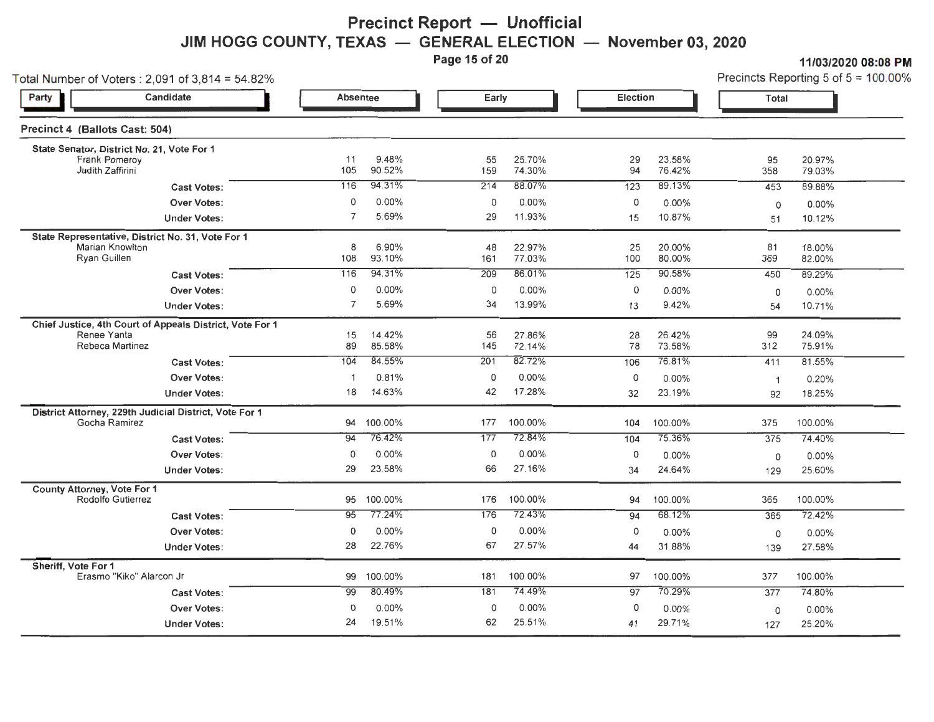## **Precinct Report — Unofficial JIM HOGG COUNTY, TEXAS — GENERAL ELECTION — November 03, 2020**<br>Page 15 of 20

**11/03/2020 08:08 PM**<br>Precincts Reporting 5 of 5 = 100 00%

| Total Number of Voters : 2,091 of 3,814 = 54.82%                                           |                           |                   | Early             |                    | <b>Election</b>  |                    | Precincts Reporting 5 of $5 = 100.00$ % |                    |
|--------------------------------------------------------------------------------------------|---------------------------|-------------------|-------------------|--------------------|------------------|--------------------|-----------------------------------------|--------------------|
| Candidate<br>Party                                                                         | <b>Absentee</b>           |                   |                   |                    |                  |                    |                                         |                    |
| Precinct 4 (Ballots Cast: 504)                                                             |                           |                   |                   |                    |                  |                    |                                         |                    |
| State Senator, District No. 21, Vote For 1<br><b>Frank Pomeroy</b><br>Judith Zaffirini     | 11<br>105                 | 9.48%<br>90.52%   | 55<br>159         | 25.70%<br>74.30%   | 29<br>94         | 23.58%<br>76.42%   | 95<br>358                               | 20.97%<br>79.03%   |
| <b>Cast Votes:</b>                                                                         | 116                       | 94.31%            | 214               | 88.07%             | 123              | 89.13%             | 453                                     | 89.88%             |
| <b>Over Votes:</b><br><b>Under Votes:</b>                                                  | $\circ$<br>$\overline{7}$ | $0.00\%$<br>5.69% | $\mathbf 0$<br>29 | $0.00\%$<br>11.93% | 0<br>15          | $0.00\%$<br>10.87% | $\circ$<br>51                           | $0.00\%$<br>10.12% |
| State Representative, District No. 31, Vote For 1<br>Marian Knowlton<br>Ryan Guillen       | 8<br>108                  | 6.90%<br>93.10%   | 48<br>161         | 22.97%<br>77.03%   | 25<br>100        | 20.00%<br>80.00%   | 81<br>369                               | 18.00%<br>82.00%   |
| <b>Cast Votes:</b>                                                                         | 116                       | 94.31%            | 209               | 86.01%             | $\overline{125}$ | 90.58%             | 450                                     | 89.29%             |
| <b>Over Votes:</b><br><b>Under Votes:</b>                                                  | 0<br>$\overline{7}$       | 0.00%<br>5.69%    | 0<br>34           | $0.00\%$<br>13.99% | 0<br>13          | 0.00%<br>9.42%     | 0<br>54                                 | $0.00\%$<br>10.71% |
| Chief Justice, 4th Court of Appeals District, Vote For 1<br>Renee Yanta<br>Rebeca Martinez | 15<br>89                  | 14.42%<br>85.58%  | 56<br>145         | 27.86%<br>72.14%   | 28<br>78         | 26.42%<br>73.58%   | 99<br>312                               | 24.09%<br>75.91%   |
| <b>Cast Votes:</b>                                                                         | 104                       | 84.55%            | 201               | 82.72%             | 106              | 76.81%             | 411                                     | 81.55%             |
| Over Votes:                                                                                | $\overline{1}$            | 0.81%             | 0                 | $0.00\%$           | 0                | 0.00%              | $\overline{1}$                          | 0.20%              |
| <b>Under Votes:</b>                                                                        | 18                        | 14.63%            | 42                | 17.28%             | 32               | 23.19%             | 92                                      | 18.25%             |
| District Attorney, 229th Judicial District, Vote For 1<br>Gocha Ramirez                    | 94                        | 100.00%           | 177               | 100.00%            | 104              | 100.00%            | 375                                     | 100.00%            |
| <b>Cast Votes:</b>                                                                         | 94                        | 76.42%            | 177               | 72.84%             | 104              | 75.36%             | 375                                     | 74.40%             |
| <b>Over Votes:</b><br><b>Under Votes:</b>                                                  | 0<br>29                   | 0.00%<br>23.58%   | 0<br>66           | 0.00%<br>27.16%    | 0<br>34          | 0.00%<br>24.64%    | 0<br>129                                | $0.00\%$<br>25.60% |
| County Attorney, Vote For 1<br>Rodolfo Gutierrez                                           | 95                        | 100.00%           | 176               | 100.00%            | 94               | 100.00%            | 365                                     | 100.00%            |
| <b>Cast Votes:</b>                                                                         | 95                        | 77.24%            | 176               | 72.43%             | 94               | 68.12%             | 365                                     | 72.42%             |
| Over Votes:                                                                                | $\overline{0}$            | $0.00\%$          | 0                 | $0.00\%$           | 0                | 0.00%              | $\mathsf{O}$                            | $0.00\%$           |
| <b>Under Votes:</b>                                                                        | 28                        | 22.76%            | 67                | 27.57%             | 44               | 31.88%             | 139                                     | 27.58%             |
| Sheriff, Vote For 1<br>Erasmo "Kiko" Alarcon Jr                                            | 99                        | 100.00%           | 181               | 100.00%            | 97               | 100.00%            | 377                                     | 100.00%            |
| <b>Cast Votes:</b>                                                                         | 99                        | 80.49%            | 181               | 74.49%             | 97               | 70.29%             | 377                                     | 74.80%             |
| <b>Over Votes:</b>                                                                         | $\circ$                   | 0.00%             | 0                 | $0.00\%$           | 0                | $0.00\%$           | 0                                       | $0.00\%$           |
| <b>Under Votes:</b>                                                                        | 24                        | 19.51%            | 62                | 25.51%             | 41               | 29.71%             | 127                                     | 25.20%             |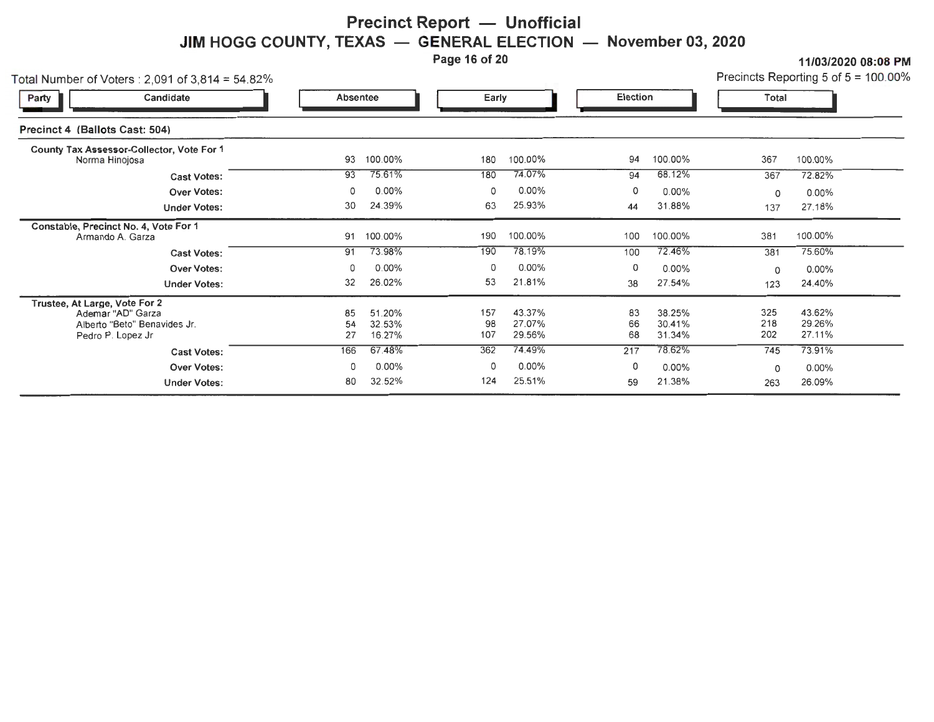#### **Precinct Report - Unofficial JIM HOGG COUNTY, TEXAS GENERAL ELECTION November** 03, **2020**

Page 16 of 20

11/03/2020 08:08PM

| Precincts Reporting 5 of $5 = 100.00\%$ |  |  |  |  |
|-----------------------------------------|--|--|--|--|
|-----------------------------------------|--|--|--|--|

| Total Number of Voters : 2,091 of 3,814 = 54.82%                                                        |                 |                            |                  |                            |                |                            |                   | Precincts Reporting 5 of $5 = 100.00\%$ |
|---------------------------------------------------------------------------------------------------------|-----------------|----------------------------|------------------|----------------------------|----------------|----------------------------|-------------------|-----------------------------------------|
| Candidate<br>Party                                                                                      | <b>Absentee</b> |                            | Early            |                            | Election       |                            | <b>Total</b>      |                                         |
| Precinct 4 (Ballots Cast: 504)                                                                          |                 |                            |                  |                            |                |                            |                   |                                         |
| County Tax Assessor-Collector, Vote For 1<br>Norma Hinojosa                                             | 93              | 100.00%                    | 180              | 100.00%                    | 94             | 100.00%                    | 367               | 100.00%                                 |
| <b>Cast Votes:</b>                                                                                      | 93              | 75.61%                     | 180              | 74.07%                     | 94             | 68.12%                     | 367               | 72.82%                                  |
| <b>Over Votes:</b>                                                                                      | 0               | $0.00\%$                   | 0                | $0.00\%$                   | 0              | $0.00\%$                   | 0                 | 0.00%                                   |
| <b>Under Votes:</b>                                                                                     | 30              | 24.39%                     | 63               | 25.93%                     | 44             | 31.88%                     | 137               | 27.18%                                  |
| Constable, Precinct No. 4, Vote For 1<br>Armando A. Garza                                               | 91              | 100.00%                    | 190              | 100.00%                    | 100            | 100.00%                    | 381               | 100.00%                                 |
| <b>Cast Votes:</b>                                                                                      | 91              | 73.98%                     | 190              | 78.19%                     | 100            | 72.46%                     | 381               | 75.60%                                  |
| <b>Over Votes:</b>                                                                                      | 0               | $0.00\%$                   | 0                | $0.00\%$                   | 0              | $0.00\%$                   | 0                 | $0.00\%$                                |
| <b>Under Votes:</b>                                                                                     | 32              | 26.02%                     | 53               | 21.81%                     | 38             | 27.54%                     | 123               | 24.40%                                  |
| Trustee, At Large, Vote For 2<br>Ademar "AD" Garza<br>Alberto "Beto" Benavides Jr.<br>Pedro P. Lopez Jr | 85<br>54<br>27  | 51.20%<br>32.53%<br>16.27% | 157<br>98<br>107 | 43.37%<br>27.07%<br>29.56% | 83<br>66<br>68 | 38.25%<br>30.41%<br>31.34% | 325<br>218<br>202 | 43.62%<br>29.26%<br>27.11%              |
| <b>Cast Votes:</b>                                                                                      | 166             | 67.48%                     | 362              | 74.49%                     | 217            | 78.62%                     | 745               | 73.91%                                  |
| Over Votes:                                                                                             | 0               | 0.00%                      | 0                | $0.00\%$                   | 0              | $0.00\%$                   | 0                 | $0.00\%$                                |
| <b>Under Votes:</b>                                                                                     | 80              | 32.52%                     | 124              | 25.51%                     | 59             | 21.38%                     | 263               | 26.09%                                  |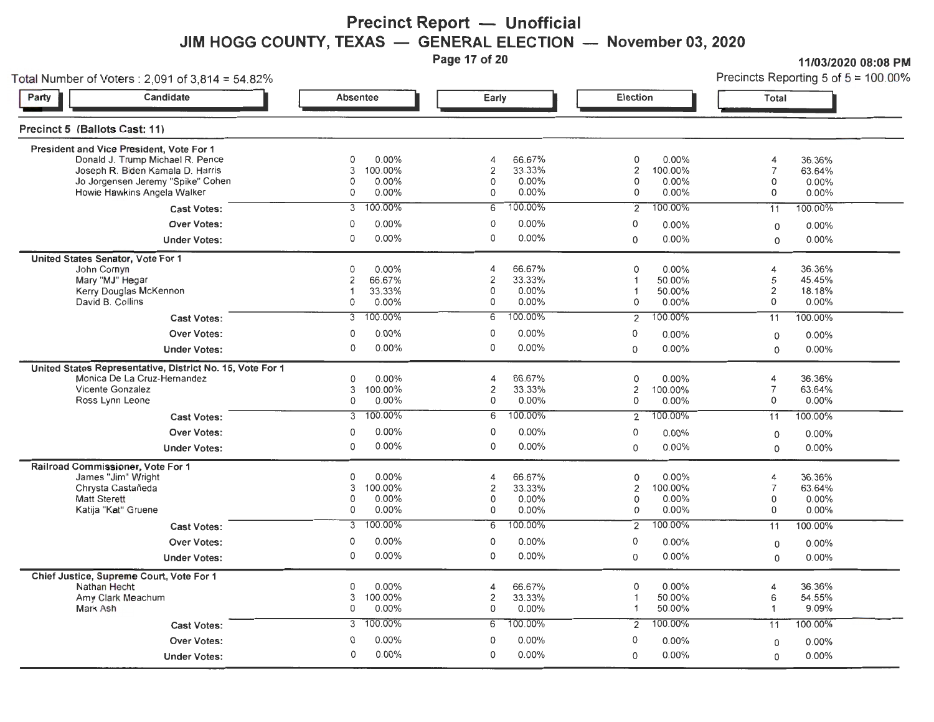## **Precinct Report - Unofficial JIM HOGG COUNTY, TEXAS — GENERAL ELECTION — November 03, 2020**<br>Page 17 of 20

**Page 17/03/2020 08:08 PM**<br>Precincts Reporting 5 of 5 = 100.00%

| Total Number of Voters: 2,091 of 3,814 = 54.82%                                                                                                                                                           |                                                                                                                 |                                                                                                    |                                                                                                                       | Precincts Reporting 5 of $5 = 100.00$ ?                                                                                  |  |  |
|-----------------------------------------------------------------------------------------------------------------------------------------------------------------------------------------------------------|-----------------------------------------------------------------------------------------------------------------|----------------------------------------------------------------------------------------------------|-----------------------------------------------------------------------------------------------------------------------|--------------------------------------------------------------------------------------------------------------------------|--|--|
| Candidate<br>Party                                                                                                                                                                                        | Absentee                                                                                                        | Early                                                                                              | Election                                                                                                              | Total                                                                                                                    |  |  |
| Precinct 5 (Ballots Cast: 11)                                                                                                                                                                             |                                                                                                                 |                                                                                                    |                                                                                                                       |                                                                                                                          |  |  |
| President and Vice President, Vote For 1<br>Donald J Trump Michael R. Pence<br>Joseph R. Biden Kamala D. Harris<br>Jo Jorgensen Jeremy "Spike" Cohen<br>Howie Hawkins Angela Walker<br><b>Cast Votes:</b> | 0<br>0.00%<br>3<br>100.00%<br>0.00%<br>0<br>0.00%<br>0<br>100.00%<br>3                                          | 66.67%<br>4<br>2<br>33.33%<br>0<br>0.00%<br>0.00%<br>0<br>100.00%<br>$\overline{6}$                | 0<br>0.00%<br>2<br>100.00%<br>0<br>0.00%<br>0<br>0.00%<br>100.00%<br>2                                                | 36.36%<br>4<br>$\overline{7}$<br>63.64%<br>0<br>0.00%<br>0<br>0.00%<br>100.00%<br>11                                     |  |  |
| <b>Over Votes:</b><br><b>Under Votes:</b>                                                                                                                                                                 | $0.00\%$<br>0<br>0<br>0.00%                                                                                     | 0<br>$0.00\%$<br>0<br>$0.00\%$                                                                     | 0<br>0.00%<br>0.00%<br>$\mathbf 0$                                                                                    | 0.00%<br>$\mathsf O$<br>0.00%<br>0                                                                                       |  |  |
| United States Senator, Vote For 1<br>John Cornyn<br>Mary "MJ" Hegar<br>Kerry Douglas McKennon<br>David B. Collins<br><b>Cast Votes:</b><br><b>Over Votes:</b><br><b>Under Votes:</b>                      | 0.00%<br>0<br>2<br>66.67%<br>33.33%<br>$\mathbf 1$<br>0.00%<br>0<br>100.00%<br>3<br>0.00%<br>0<br>0<br>$0.00\%$ | 66.67%<br>4<br>2<br>33.33%<br>0<br>0.00%<br>0<br>0.00%<br>100.00%<br>6<br>0<br>0.00%<br>0<br>0.00% | 0<br>0.00%<br>50.00%<br>1<br>50.00%<br>1<br>0<br>0.00%<br>100.00%<br>$\overline{2}$<br>0<br>0.00%<br>0.00%<br>$\circ$ | 36.36%<br>4<br>45.45%<br>5<br>2<br>18.18%<br>0<br>0.00%<br>100.00%<br>11<br>0.00%<br>$\mathsf O$<br>0.00%<br>$\mathbf 0$ |  |  |
| United States Representative, District No. 15, Vote For 1<br>Monica De La Cruz-Hernandez<br>Vicente Gonzalez<br>Ross Lynn Leone<br><b>Cast Votes:</b>                                                     | 0.00%<br>0<br>100.00%<br>3<br>0.00%<br>0<br>100.00%<br>3                                                        | 66.67%<br>4<br>2<br>33.33%<br>0<br>0.00%<br>100.00%<br>$\overline{6}$                              | 0<br>0.00%<br>2<br>100.00%<br>0<br>0.00%<br>100.00%<br>$\overline{2}$                                                 | 36.36%<br>4<br>$\overline{7}$<br>63.64%<br>0.00%<br>0<br>100.00%<br>11                                                   |  |  |
| <b>Over Votes:</b><br><b>Under Votes:</b>                                                                                                                                                                 | 0.00%<br>0<br>0<br>0.00%                                                                                        | 0<br>0.00%<br>0<br>0.00%                                                                           | 0<br>0.00%<br>0.00%<br>$\mathbf 0$                                                                                    | 0.00%<br>0<br>0.00%<br>0                                                                                                 |  |  |
| Railroad Commissioner, Vote For 1<br>James "Jim' Wright<br>Chrysta Castañeda<br>Matt Ste ett<br>Katija "Kat" Gruene<br><b>Cast Votes:</b>                                                                 | 0<br>0.00%<br>100.00%<br>3<br>0.00%<br>$\Omega$<br>0.00%<br>0<br>100.00%<br>$\overline{3}$                      | 66.67%<br>4<br>$\overline{\mathbf{c}}$<br>33.33%<br>0<br>0.00%<br>0<br>0.00%<br>100.00%<br>6       | 0<br>0.00%<br>2<br>100.00%<br>0<br>0.00%<br>0.00%<br>0<br>100.00%<br>$\overline{2}$                                   | 36.36%<br>4<br>63.64%<br>7<br>0.00%<br>0<br>0<br>0.00%<br>100.00%<br>11                                                  |  |  |
| <b>Over Votes:</b><br><b>Under Votes:</b>                                                                                                                                                                 | $0.00\%$<br>0<br>$0.00\%$<br>0                                                                                  | 0<br>0.00%<br>0<br>$0.00\%$                                                                        | 0<br>0.00%<br>$0.00\%$<br>$\Omega$                                                                                    | 0.00%<br>0<br>0.00%<br>$\mathbf 0$                                                                                       |  |  |
| Chief Justice, Supreme Court, Vote For 1<br>Nathan Hecht<br>Amy Clark Meachum<br>Mark Ash                                                                                                                 | 0<br>$0.00\%$<br>3<br>100.00%<br>0<br>$0.00\%$                                                                  | 66.67%<br>$\overline{4}$<br>$\overline{2}$<br>33.33%<br>0<br>0.00%                                 | 0<br>$0.00\%$<br>50.00%<br>1<br>1<br>50.00%                                                                           | 36.36%<br>4<br>6<br>54.55%<br>9.09%<br>$\mathbf{1}$                                                                      |  |  |
| <b>Cast Votes:</b><br><b>Over Votes:</b><br><b>Under Votes:</b>                                                                                                                                           | 3 100.00%<br>$0.00\%$<br>0<br>$0.00\%$<br>$\Omega$                                                              | 100.00%<br>6<br>0<br>0.00%<br>0.00%<br>$\Omega$                                                    | 100.00%<br>2<br>0<br>$0.00\%$<br>$0.00\%$<br>$\Omega$                                                                 | 100.00%<br>11<br>0.00%<br>0<br>$0.00\%$<br>0                                                                             |  |  |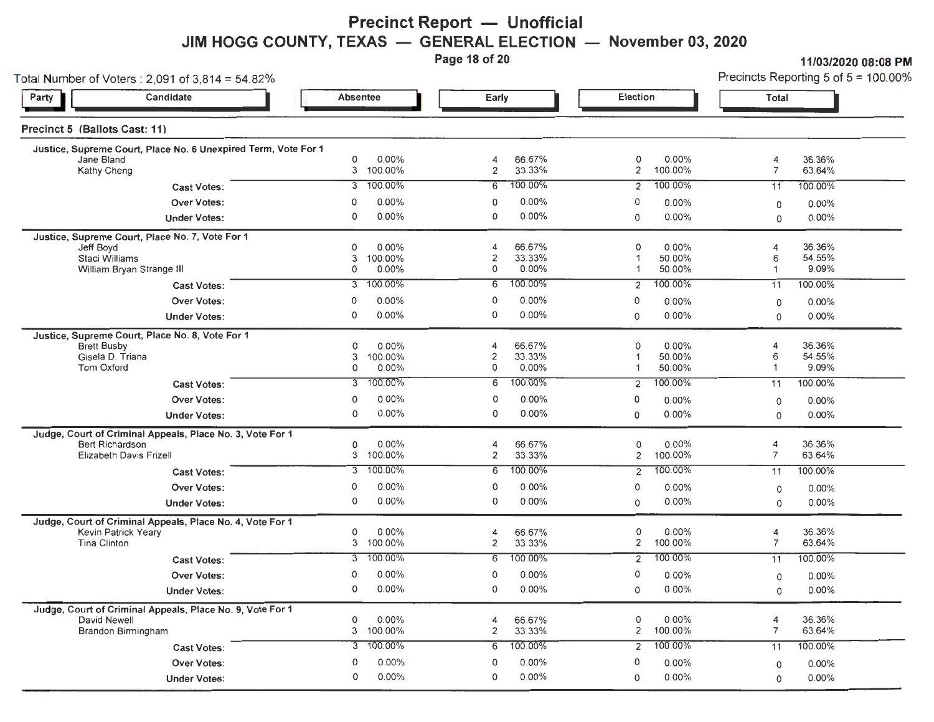### **Precinct Report - Unofficial JIM HOGG COUNTY, TEXAS – GENERAL ELECTION – November 03, 2020**<br>Page 18 of 20

**Page 11/03/2020 08:08 Precincts Reporting 5 of 5 = 100 00%** 

| Total Number of Voters: $2,091$ of $3,814 = 54.82\%$                                                           |                                                           |                                                          |                                                   | Precincts Reporting 5 of $5 = 100.00$ %             |  |  |
|----------------------------------------------------------------------------------------------------------------|-----------------------------------------------------------|----------------------------------------------------------|---------------------------------------------------|-----------------------------------------------------|--|--|
| Candidate<br>Party                                                                                             | Absentee                                                  | Early                                                    | Election                                          | Total                                               |  |  |
| Precinct 5 (Ballots Cast: 11)                                                                                  |                                                           |                                                          |                                                   |                                                     |  |  |
| Justice, Supreme Court, Place No. 6 Unexpired Term, Vote For 1<br>Jane Bland<br>Kathy Cheng                    | 0.00%<br>0<br>3<br>100.00%                                | 66.67%<br>4<br>2<br>33.33%                               | 0.00%<br>0<br>2<br>100.00%                        | 36.36%<br>4<br>$\overline{7}$<br>63.64%             |  |  |
| <b>Cast Votes:</b>                                                                                             | 100.00%                                                   | 100.00%                                                  | 100.00%                                           | 100.00%                                             |  |  |
|                                                                                                                | 3                                                         | 6                                                        | 2                                                 | 11                                                  |  |  |
| <b>Over Votes:</b>                                                                                             | 0.00%                                                     | $0.00\%$                                                 | 0                                                 | $0.00\%$                                            |  |  |
|                                                                                                                | 0                                                         | 0                                                        | $0.00\%$                                          | 0                                                   |  |  |
| <b>Under Votes:</b>                                                                                            | $0.00\%$                                                  | 0                                                        | 0.00%                                             | $0.00\%$                                            |  |  |
|                                                                                                                | $\Omega$                                                  | 0.00%                                                    | 0                                                 | 0                                                   |  |  |
| Justice, Supreme Court, Place No. 7, Vote For 1<br>Jeff Boyd<br>Staci Williams<br>William Bryan Strange III    | $0.00\%$<br>0<br>3<br>100.00%<br>0.00%<br>0               | 66.67%<br>4<br>33.33%<br>2<br>0.00%<br>0                 | 0<br>0.00%<br>50.00%<br>1<br>50.00%<br>1          | 36.36%<br>4<br>54.55%<br>6<br>9.09%<br>-1           |  |  |
| <b>Cast Votes:</b>                                                                                             | 100.00%                                                   | 100.00%                                                  | 100.00%                                           | 100.00%                                             |  |  |
|                                                                                                                | 3                                                         | 6                                                        | 2                                                 | 11                                                  |  |  |
| <b>Over Votes:</b>                                                                                             | $0.00\%$                                                  | 0                                                        | 0                                                 | 0.00%                                               |  |  |
|                                                                                                                | $\mathbf 0$                                               | 0.00%                                                    | 0.00%                                             | 0                                                   |  |  |
| <b>Under Votes:</b>                                                                                            | $0.00\%$                                                  | $0.00\%$                                                 | $0.00\%$                                          | 0.00%                                               |  |  |
|                                                                                                                | 0                                                         | 0                                                        | 0                                                 | 0                                                   |  |  |
| Justice, Supreme Court, Place No. 8, Vote For 1<br><b>Brett Busby</b><br>Gisela D. Triana<br><b>Tom Oxford</b> | $0.00\%$<br>0<br>100.00%<br>3<br>0<br>$0.00\%$<br>100.00% | 66.67%<br>4<br>33.33%<br>2<br>0.00%<br>0<br>100.00%<br>6 | 0<br>$0.00\%$<br>50.00%<br>50.00%<br>1<br>100.00% | 36.36%<br>4<br>54.55%<br>6<br>9.09%<br>1<br>100.00% |  |  |
| <b>Cast Votes:</b>                                                                                             | 3                                                         |                                                          | 2                                                 | 11                                                  |  |  |
| Over Votes:<br><b>Under Votes:</b>                                                                             | 0.00%<br>0<br>0.00%<br>0                                  | 0.00%<br>0<br>$0.00\%$<br>0                              | 0<br>0.00%<br>0.00%<br>0                          | $0.00\%$<br>0<br>0.00%<br>0                         |  |  |
| Judge, Court of Criminal Appeals, Place No. 3, Vote For 1                                                      |                                                           |                                                          |                                                   |                                                     |  |  |
| Bert Richardson<br>Elizabeth Davis Frizell                                                                     | 0<br>0.00%<br>3<br>100.00%                                | 66.67%<br>4<br>33.33%<br>2                               | 0<br>0.00%<br>2<br>100.00%                        | 36.36%<br>4<br>$\overline{7}$<br>63.64%             |  |  |
| <b>Cast Votes:</b>                                                                                             | 100.00%                                                   | 100.00%                                                  | 100.00%                                           | 100.00%                                             |  |  |
|                                                                                                                | 3                                                         | 6                                                        | 2                                                 | 11                                                  |  |  |
| <b>Over Votes:</b>                                                                                             | 0.00%                                                     | 0                                                        | 0                                                 | $0.00\%$                                            |  |  |
|                                                                                                                | 0                                                         | $0.00\%$                                                 | 0.00%                                             | 0                                                   |  |  |
| <b>Under Votes:</b>                                                                                            | 0                                                         | 0.00%                                                    | 0.00%                                             | $0.00\%$                                            |  |  |
|                                                                                                                | $0.00\%$                                                  | 0                                                        | 0                                                 | 0                                                   |  |  |
| Judge, Court of Criminal Appeals, Place No. 4, Vote For 1<br><b>Kevin Patrick Yeary</b><br><b>Tina Clinton</b> | 0<br>$0.00\%$<br>3<br>100.00%                             | 66.67%<br>4<br>2<br>33.33%                               | 0<br>0.00%<br>100.00%<br>$\overline{2}$           | 36.36%<br>4<br>$\overline{7}$<br>63.64%             |  |  |
| <b>Cast Votes:</b>                                                                                             | 100.00%                                                   | 100.00%                                                  | 100.00%                                           | 100.00%                                             |  |  |
|                                                                                                                | 3                                                         | 6                                                        | $\overline{2}$                                    | 11                                                  |  |  |
| <b>Over Votes:</b>                                                                                             | $0.00\%$                                                  | 0.00%                                                    | 0                                                 | $0.00\%$                                            |  |  |
|                                                                                                                | 0                                                         | 0                                                        | 0.00%                                             | 0                                                   |  |  |
| <b>Under Votes:</b>                                                                                            | 0.00%                                                     | 0.00%                                                    | $0.00\%$                                          | $0.00\%$                                            |  |  |
|                                                                                                                | $\circ$                                                   | 0                                                        | 0                                                 | 0                                                   |  |  |
| Judge, Court of Criminal Appeals, Place No. 9, Vote For 1<br>David Newell<br><b>Brandon Birmingham</b>         | 0.00%<br>0<br>100.00%<br>3                                | 66.67%<br>4<br>33.33%<br>2                               | 0<br>0.00%<br>2<br>100.00%                        | 36.36%<br>4<br>63.64%<br>$\overline{7}$             |  |  |
| <b>Cast Votes:</b>                                                                                             | 100.00%                                                   | 100.00%                                                  | 100.00%                                           | 100.00%                                             |  |  |
|                                                                                                                | 3                                                         | 6                                                        | 2                                                 | 11                                                  |  |  |
| <b>Over Votes:</b>                                                                                             | 0                                                         | 0                                                        | 0                                                 | $0.00\%$                                            |  |  |
|                                                                                                                | $0.00\%$                                                  | 0.00%                                                    | 0.00%                                             | 0                                                   |  |  |
| <b>Under Votes:</b>                                                                                            | 0                                                         | 0.00%                                                    | $0.00\%$                                          | $0.00\%$                                            |  |  |
|                                                                                                                | $0.00\%$                                                  | 0                                                        | 0                                                 | 0                                                   |  |  |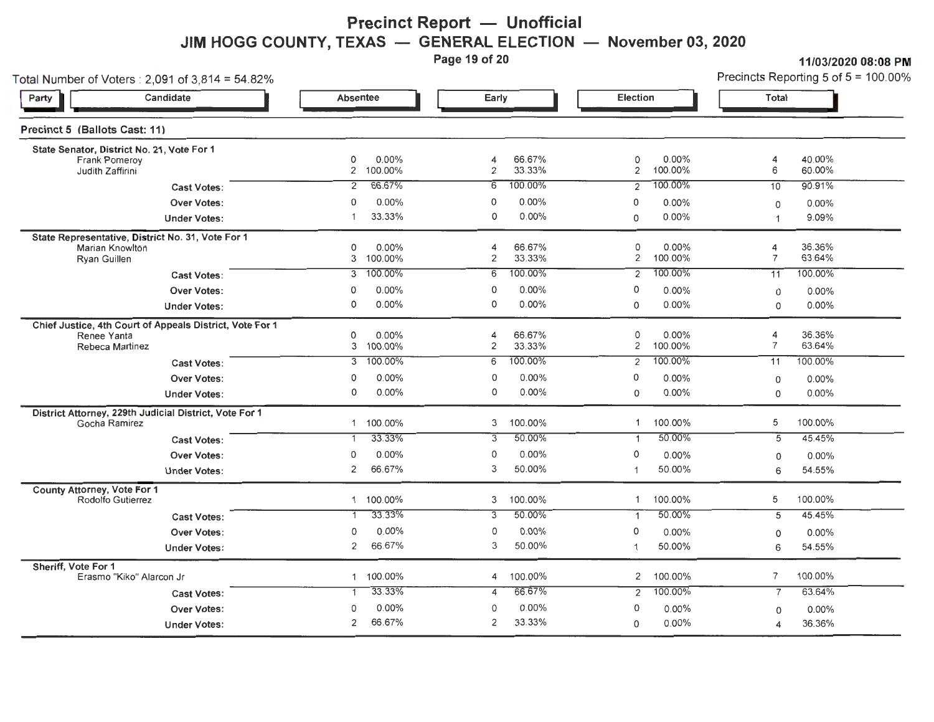# **Precinct Report - Unofficial JIM HOGG COUNTY, TEXAS — GENERAL ELECTION — November 03, 2020**<br>Page 19 of 20

**Page 19 of 20 11/03/2020 08:08PM** 

Total Number of Voters: 2,091 of 3,814 = 54.82% Precincts Reporting 5 of 5 = 100.00%

| Candidate<br>Party                                                                         | Absentee                   | Early                                   | Election                                | Total                                   |
|--------------------------------------------------------------------------------------------|----------------------------|-----------------------------------------|-----------------------------------------|-----------------------------------------|
| Precinct 5 (Ballots Cast: 11)                                                              |                            |                                         |                                         |                                         |
| State Senator, District No. 21, Vote For 1<br>Frank Pomeroy<br>Judith Zaffirini            | 0.00%<br>0<br>2 100.00%    | 66.67%<br>4<br>$\mathbf{2}$<br>33.33%   | 0<br>0.00%<br>$\overline{2}$<br>100.00% | 40.00%<br>4<br>6<br>60.00%              |
| <b>Cast Votes:</b>                                                                         | 66.67%                     | 100.00%                                 | 100.00%                                 | 90.91%                                  |
|                                                                                            | 2                          | 6                                       | 2                                       | 10                                      |
| <b>Over Votes:</b>                                                                         | 0.00%                      | 0.00%                                   | $\mathbf 0$                             | $0.00\%$                                |
|                                                                                            | $\Omega$                   | 0                                       | 0.00%                                   | 0                                       |
| <b>Under Votes:</b>                                                                        | 33.33%                     | 0.00%<br>0                              | 0.00%<br>0                              | 9.09%<br>$\overline{1}$                 |
| State Representative, District No. 31, Vote For 1<br>Marian Knowiton<br>Rvan Guillen       | 0<br>0.00%<br>100.00%<br>3 | 66.67%<br>4<br>$\overline{c}$<br>33.33% | 0<br>0.00%<br>2<br>100.00%              | 36.36%<br>4<br>$\overline{7}$<br>63.64% |
| <b>Cast Votes:</b>                                                                         | 100.00%                    | 100.00%                                 | 100.00%                                 | 100.00%                                 |
|                                                                                            | 3                          | 6                                       | 2                                       | 11                                      |
| <b>Over Votes:</b>                                                                         | $0.00\%$                   | $0.00\%$                                | 0                                       | $0.00\%$                                |
|                                                                                            | 0                          | 0                                       | $0.00\%$                                | 0                                       |
| <b>Under Votes:</b>                                                                        | 0.00%                      | 0                                       | 0.00%                                   | 0.00%                                   |
|                                                                                            | 0                          | 0.00%                                   | $\circ$                                 | $\mathbf 0$                             |
| Chief Justice, 4th Court of Appeals District, Vote For 1<br>Renee Yanta<br>Rebeca Martinez | 0<br>0.00%<br>3 100.00%    | 66.67%<br>4<br>2<br>33.33%<br>100.00%   | 0<br>0.00%<br>100.00%<br>2<br>100.00%   | 36.36%<br>4<br>$\overline{7}$<br>63.64% |
| Cast Votes:                                                                                | 100.00%<br>$\overline{3}$  | 6                                       | $\overline{2}$                          | 100.00%<br>11                           |
| <b>Over Votes:</b>                                                                         | 0.00%<br>0<br>0.00%<br>0   | 0.00%<br>0<br>0<br>0.00%                | 0<br>0.00%<br>0.00%                     | 0.00%<br>0                              |
| <b>Under Votes:</b>                                                                        |                            |                                         | 0                                       | 0.00%<br>0                              |
| District Attorney, 229th Judicial District, Vote For 1                                     | 1 100.00%                  | 100.00%                                 | 100.00%                                 | 100.00%                                 |
| Gocha Ramirez                                                                              |                            | 3                                       | 1                                       | 5                                       |
| <b>Cast Votes:</b>                                                                         | 33.33%                     | 50.00%                                  | 50.00%                                  | $\overline{5}$                          |
|                                                                                            | $\mathbf{1}$               | 3                                       | $\mathbf{1}$                            | 45.45%                                  |
| <b>Over Votes:</b>                                                                         | 0.00%                      | 0                                       | 0                                       | 0.00%                                   |
|                                                                                            | 0                          | 0.00%                                   | 0.00%                                   | $\mathbf 0$                             |
| <b>Under Votes:</b>                                                                        | 66.67%                     | 3                                       | 50.00%                                  | 6                                       |
|                                                                                            | 2                          | 50.00%                                  | 1                                       | 54.55%                                  |
| County Attorney, Vote For 1                                                                | 1 100.00%                  | 100.00%                                 | 100.00%                                 | 100.00%                                 |
| Rodolfo Gutierrez                                                                          |                            | 3                                       | 1                                       | 5                                       |
| <b>Cast Votes:</b>                                                                         | 33.33%                     | 50.00%<br>$\overline{3}$                | 50.00%<br>$\mathbf{1}$                  | 45.45%<br>5                             |
| Over Votes:                                                                                | 0.00%                      | 0                                       | 0                                       | 0.00%                                   |
|                                                                                            | 0                          | 0.00%                                   | 0.00%                                   | $\circ$                                 |
| <b>Under Votes:</b>                                                                        | 66.67%                     | 3                                       | 50.00%                                  | 54.55%                                  |
|                                                                                            | 2                          | 50.00%                                  | $\overline{1}$                          | 6                                       |
| Sheriff. Vote For 1                                                                        | 100.00%                    | 100.00%                                 | 100.00%                                 | $\overline{7}$                          |
| Erasmo "Kiko" Alarcon Jr                                                                   | $\mathbf{1}$               | 4                                       | 2                                       | 100.00%                                 |
| <b>Cast Votes:</b>                                                                         | 33.33%                     | 66.67%<br>4                             | 100.00%<br>$\overline{2}$               | 63.64%<br>$\overline{7}$                |
| <b>Over Votes:</b>                                                                         | 0.00%                      | 0.00%                                   | 0                                       | 0.00%                                   |
|                                                                                            | $\Omega$                   | 0                                       | $0.00\%$                                | $\mathbf 0$                             |
| <b>Under Votes:</b>                                                                        | 66.67%                     | 2                                       | 0.00%                                   | 36.36%                                  |
|                                                                                            | 2                          | 33.33%                                  | $\Omega$                                | 4                                       |